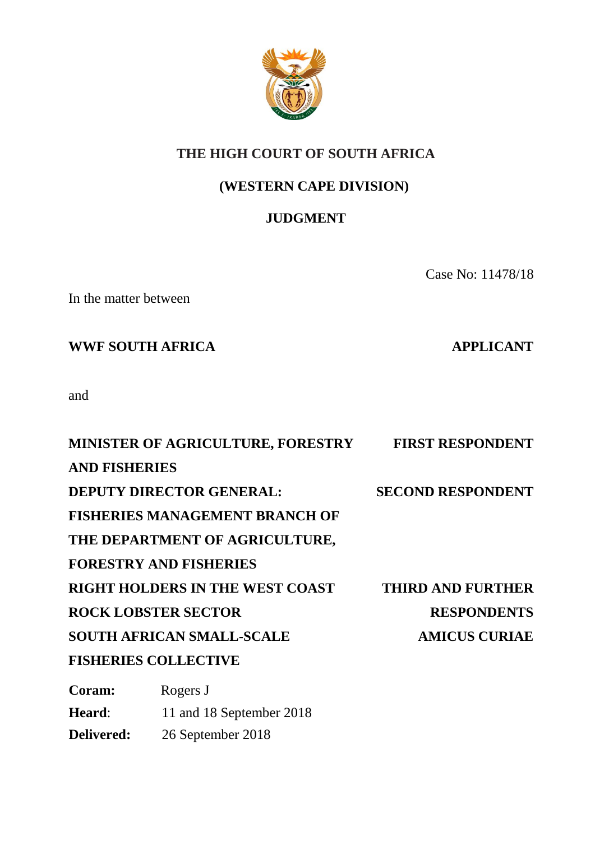

# **THE HIGH COURT OF SOUTH AFRICA**

# **(WESTERN CAPE DIVISION)**

# **JUDGMENT**

Case No: 11478/18

In the matter between

# **WWF SOUTH AFRICA APPLICANT**

and

| <b>FIRST RESPONDENT</b>  |
|--------------------------|
|                          |
| <b>SECOND RESPONDENT</b> |
|                          |
|                          |
|                          |
| <b>THIRD AND FURTHER</b> |
| <b>RESPONDENTS</b>       |
| <b>AMICUS CURIAE</b>     |
|                          |
|                          |

**Coram:** Rogers J **Heard**: 11 and 18 September 2018 **Delivered:** 26 September 2018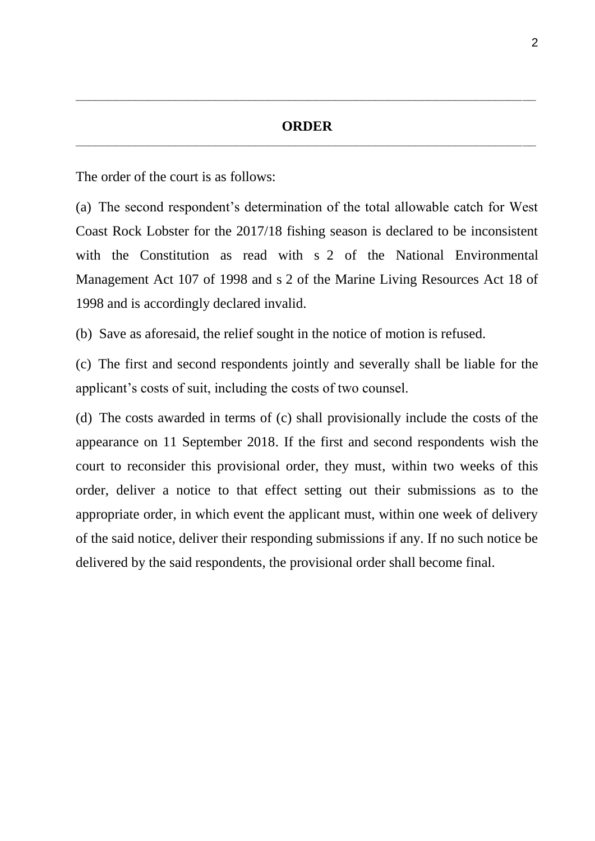**\_\_\_\_\_\_\_\_\_\_\_\_\_\_\_\_\_\_\_\_\_\_\_\_\_\_\_\_\_\_\_\_\_\_\_\_\_\_\_\_\_\_\_\_\_\_\_\_\_\_\_\_\_\_\_\_\_\_\_\_\_\_\_\_\_\_\_\_\_**

The order of the court is as follows:

(a) The second respondent's determination of the total allowable catch for West Coast Rock Lobster for the 2017/18 fishing season is declared to be inconsistent with the Constitution as read with s 2 of the National Environmental Management Act 107 of 1998 and s 2 of the Marine Living Resources Act 18 of 1998 and is accordingly declared invalid.

(b) Save as aforesaid, the relief sought in the notice of motion is refused.

(c) The first and second respondents jointly and severally shall be liable for the applicant's costs of suit, including the costs of two counsel.

(d) The costs awarded in terms of (c) shall provisionally include the costs of the appearance on 11 September 2018. If the first and second respondents wish the court to reconsider this provisional order, they must, within two weeks of this order, deliver a notice to that effect setting out their submissions as to the appropriate order, in which event the applicant must, within one week of delivery of the said notice, deliver their responding submissions if any. If no such notice be delivered by the said respondents, the provisional order shall become final.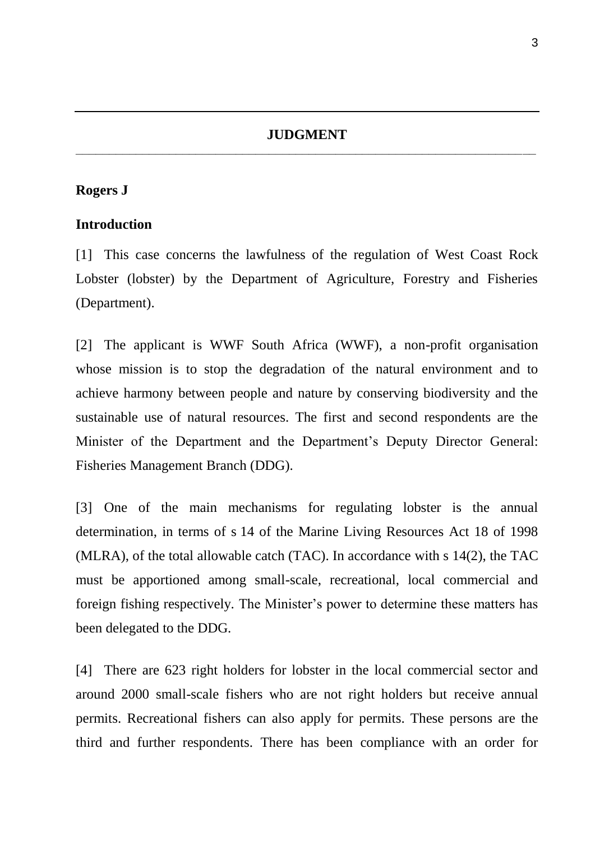#### **Rogers J**

### **Introduction**

[1] This case concerns the lawfulness of the regulation of West Coast Rock Lobster (lobster) by the Department of Agriculture, Forestry and Fisheries (Department).

[2] The applicant is WWF South Africa (WWF), a non-profit organisation whose mission is to stop the degradation of the natural environment and to achieve harmony between people and nature by conserving biodiversity and the sustainable use of natural resources. The first and second respondents are the Minister of the Department and the Department's Deputy Director General: Fisheries Management Branch (DDG).

[3] One of the main mechanisms for regulating lobster is the annual determination, in terms of s 14 of the Marine Living Resources Act 18 of 1998 (MLRA), of the total allowable catch (TAC). In accordance with s 14(2), the TAC must be apportioned among small-scale, recreational, local commercial and foreign fishing respectively. The Minister's power to determine these matters has been delegated to the DDG.

[4] There are 623 right holders for lobster in the local commercial sector and around 2000 small-scale fishers who are not right holders but receive annual permits. Recreational fishers can also apply for permits. These persons are the third and further respondents. There has been compliance with an order for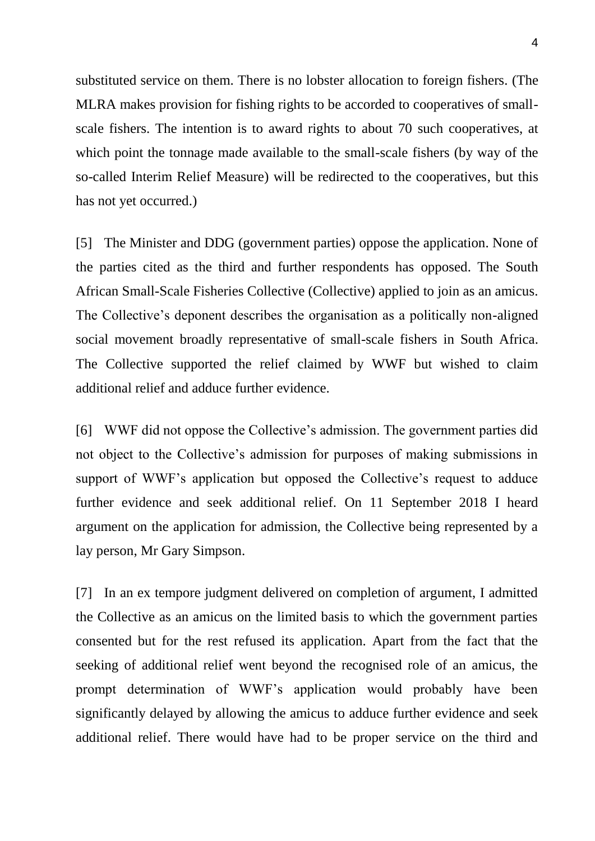substituted service on them. There is no lobster allocation to foreign fishers. (The MLRA makes provision for fishing rights to be accorded to cooperatives of smallscale fishers. The intention is to award rights to about 70 such cooperatives, at which point the tonnage made available to the small-scale fishers (by way of the so-called Interim Relief Measure) will be redirected to the cooperatives, but this has not yet occurred.)

[5] The Minister and DDG (government parties) oppose the application. None of the parties cited as the third and further respondents has opposed. The South African Small-Scale Fisheries Collective (Collective) applied to join as an amicus. The Collective's deponent describes the organisation as a politically non-aligned social movement broadly representative of small-scale fishers in South Africa. The Collective supported the relief claimed by WWF but wished to claim additional relief and adduce further evidence.

[6] WWF did not oppose the Collective's admission. The government parties did not object to the Collective's admission for purposes of making submissions in support of WWF's application but opposed the Collective's request to adduce further evidence and seek additional relief. On 11 September 2018 I heard argument on the application for admission, the Collective being represented by a lay person, Mr Gary Simpson.

[7] In an ex tempore judgment delivered on completion of argument, I admitted the Collective as an amicus on the limited basis to which the government parties consented but for the rest refused its application. Apart from the fact that the seeking of additional relief went beyond the recognised role of an amicus, the prompt determination of WWF's application would probably have been significantly delayed by allowing the amicus to adduce further evidence and seek additional relief. There would have had to be proper service on the third and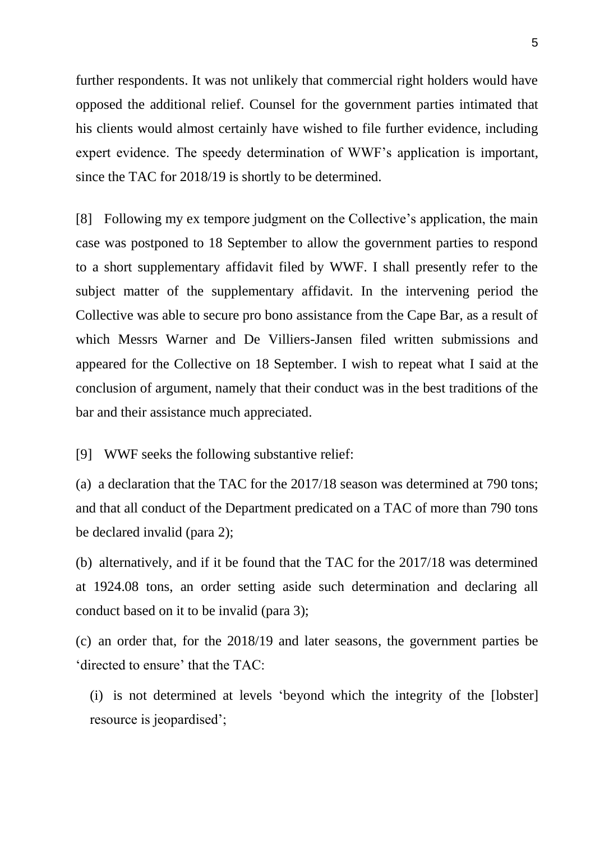further respondents. It was not unlikely that commercial right holders would have opposed the additional relief. Counsel for the government parties intimated that his clients would almost certainly have wished to file further evidence, including expert evidence. The speedy determination of WWF's application is important, since the TAC for 2018/19 is shortly to be determined.

[8] Following my ex tempore judgment on the Collective's application, the main case was postponed to 18 September to allow the government parties to respond to a short supplementary affidavit filed by WWF. I shall presently refer to the subject matter of the supplementary affidavit. In the intervening period the Collective was able to secure pro bono assistance from the Cape Bar, as a result of which Messrs Warner and De Villiers-Jansen filed written submissions and appeared for the Collective on 18 September. I wish to repeat what I said at the conclusion of argument, namely that their conduct was in the best traditions of the bar and their assistance much appreciated.

[9] WWF seeks the following substantive relief:

(a) a declaration that the TAC for the 2017/18 season was determined at 790 tons; and that all conduct of the Department predicated on a TAC of more than 790 tons be declared invalid (para 2);

(b) alternatively, and if it be found that the TAC for the 2017/18 was determined at 1924.08 tons, an order setting aside such determination and declaring all conduct based on it to be invalid (para 3);

(c) an order that, for the 2018/19 and later seasons, the government parties be 'directed to ensure' that the TAC:

(i) is not determined at levels 'beyond which the integrity of the [lobster] resource is jeopardised';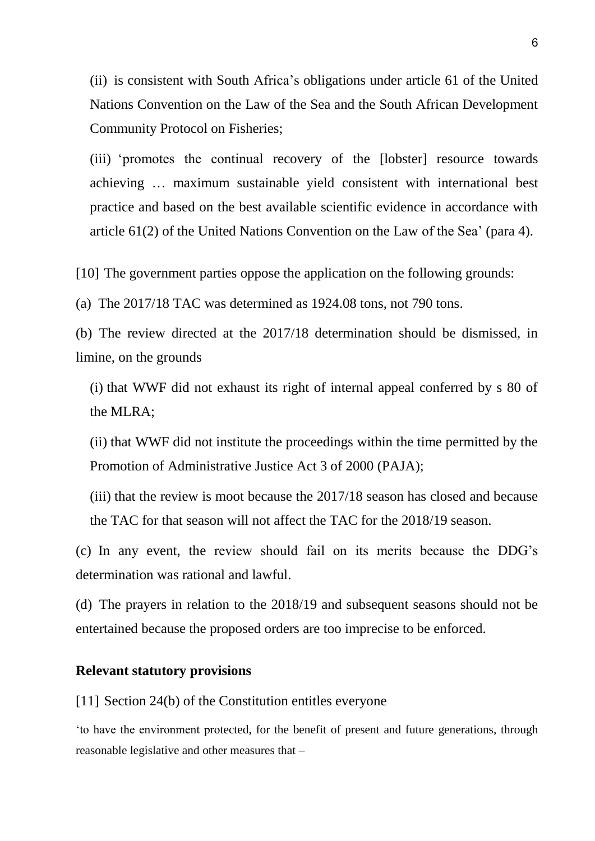(ii) is consistent with South Africa's obligations under article 61 of the United Nations Convention on the Law of the Sea and the South African Development Community Protocol on Fisheries;

(iii) 'promotes the continual recovery of the [lobster] resource towards achieving … maximum sustainable yield consistent with international best practice and based on the best available scientific evidence in accordance with article 61(2) of the United Nations Convention on the Law of the Sea' (para 4).

[10] The government parties oppose the application on the following grounds:

(a) The 2017/18 TAC was determined as 1924.08 tons, not 790 tons.

(b) The review directed at the 2017/18 determination should be dismissed, in limine, on the grounds

(i) that WWF did not exhaust its right of internal appeal conferred by s 80 of the MLRA;

(ii) that WWF did not institute the proceedings within the time permitted by the Promotion of Administrative Justice Act 3 of 2000 (PAJA);

(iii) that the review is moot because the 2017/18 season has closed and because the TAC for that season will not affect the TAC for the 2018/19 season.

(c) In any event, the review should fail on its merits because the DDG's determination was rational and lawful.

(d) The prayers in relation to the 2018/19 and subsequent seasons should not be entertained because the proposed orders are too imprecise to be enforced.

#### **Relevant statutory provisions**

[11] Section 24(b) of the Constitution entitles everyone

'to have the environment protected, for the benefit of present and future generations, through reasonable legislative and other measures that –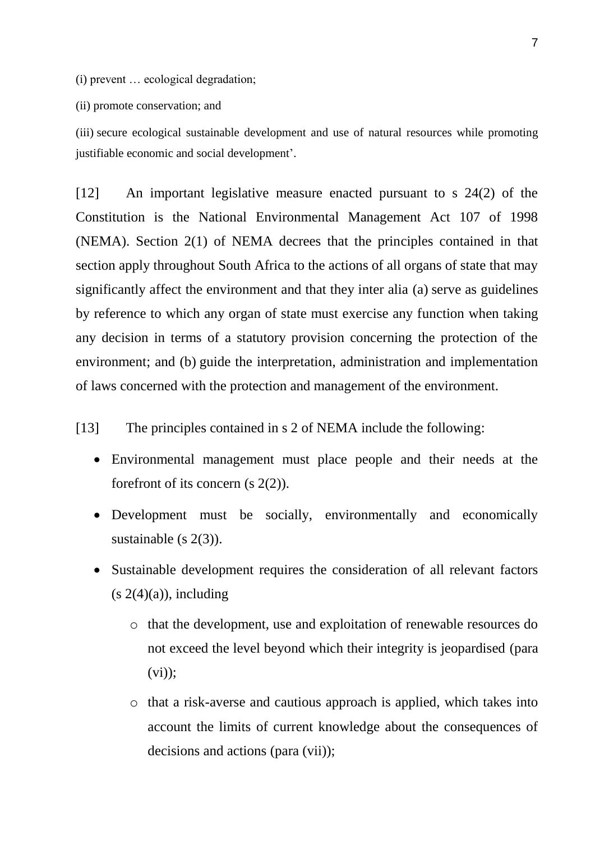(i) prevent … ecological degradation;

(ii) promote conservation; and

(iii) secure ecological sustainable development and use of natural resources while promoting justifiable economic and social development'.

[12] An important legislative measure enacted pursuant to s 24(2) of the Constitution is the National Environmental Management Act 107 of 1998 (NEMA). Section 2(1) of NEMA decrees that the principles contained in that section apply throughout South Africa to the actions of all organs of state that may significantly affect the environment and that they inter alia (a) serve as guidelines by reference to which any organ of state must exercise any function when taking any decision in terms of a statutory provision concerning the protection of the environment; and (b) guide the interpretation, administration and implementation of laws concerned with the protection and management of the environment.

- [13] The principles contained in s 2 of NEMA include the following:
	- Environmental management must place people and their needs at the forefront of its concern (s 2(2)).
	- Development must be socially, environmentally and economically sustainable (s 2(3)).
	- Sustainable development requires the consideration of all relevant factors  $(s 2(4)(a))$ , including
		- o that the development, use and exploitation of renewable resources do not exceed the level beyond which their integrity is jeopardised (para  $(vi)$ ;
		- o that a risk-averse and cautious approach is applied, which takes into account the limits of current knowledge about the consequences of decisions and actions (para (vii));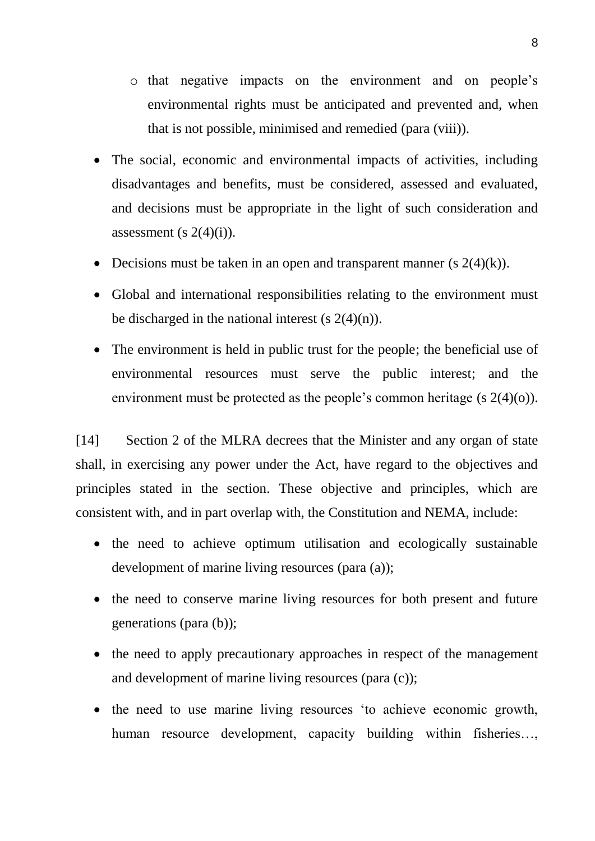- o that negative impacts on the environment and on people's environmental rights must be anticipated and prevented and, when that is not possible, minimised and remedied (para (viii)).
- The social, economic and environmental impacts of activities, including disadvantages and benefits, must be considered, assessed and evaluated, and decisions must be appropriate in the light of such consideration and assessment (s  $2(4)(i)$ ).
- Decisions must be taken in an open and transparent manner (s  $2(4)(k)$ ).
- Global and international responsibilities relating to the environment must be discharged in the national interest (s  $2(4)(n)$ ).
- The environment is held in public trust for the people; the beneficial use of environmental resources must serve the public interest; and the environment must be protected as the people's common heritage (s 2(4)(o)).

[14] Section 2 of the MLRA decrees that the Minister and any organ of state shall, in exercising any power under the Act, have regard to the objectives and principles stated in the section. These objective and principles, which are consistent with, and in part overlap with, the Constitution and NEMA, include:

- the need to achieve optimum utilisation and ecologically sustainable development of marine living resources (para (a));
- the need to conserve marine living resources for both present and future generations (para (b));
- the need to apply precautionary approaches in respect of the management and development of marine living resources (para (c));
- the need to use marine living resources 'to achieve economic growth, human resource development, capacity building within fisheries…,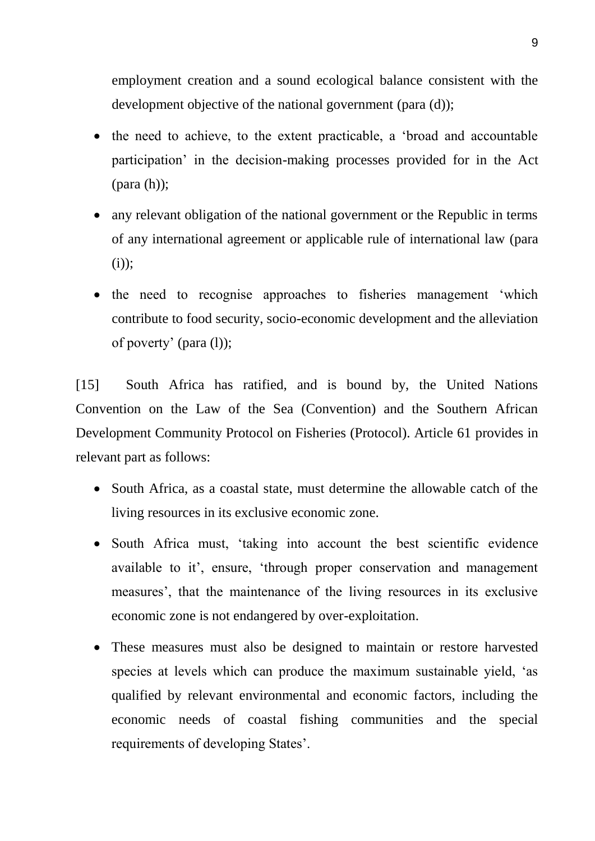employment creation and a sound ecological balance consistent with the development objective of the national government (para (d));

- the need to achieve, to the extent practicable, a 'broad and accountable participation' in the decision-making processes provided for in the Act  $(\text{para } (h))$ ;
- any relevant obligation of the national government or the Republic in terms of any international agreement or applicable rule of international law (para  $(i)$ ;
- the need to recognise approaches to fisheries management 'which contribute to food security, socio-economic development and the alleviation of poverty' (para (l));

[15] South Africa has ratified, and is bound by, the United Nations Convention on the Law of the Sea (Convention) and the Southern African Development Community Protocol on Fisheries (Protocol). Article 61 provides in relevant part as follows:

- South Africa, as a coastal state, must determine the allowable catch of the living resources in its exclusive economic zone.
- South Africa must, 'taking into account the best scientific evidence available to it', ensure, 'through proper conservation and management measures', that the maintenance of the living resources in its exclusive economic zone is not endangered by over-exploitation.
- These measures must also be designed to maintain or restore harvested species at levels which can produce the maximum sustainable yield, 'as qualified by relevant environmental and economic factors, including the economic needs of coastal fishing communities and the special requirements of developing States'.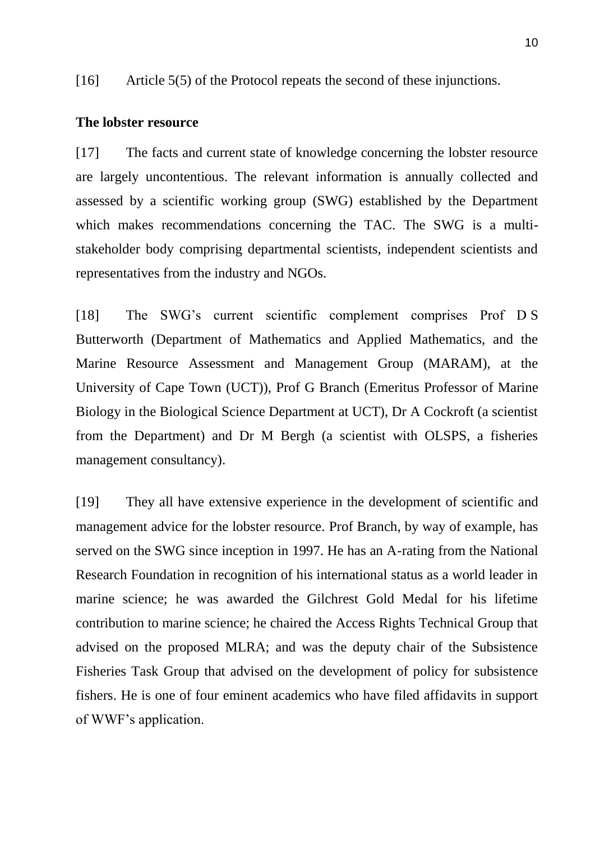[16] Article 5(5) of the Protocol repeats the second of these injunctions.

#### **The lobster resource**

[17] The facts and current state of knowledge concerning the lobster resource are largely uncontentious. The relevant information is annually collected and assessed by a scientific working group (SWG) established by the Department which makes recommendations concerning the TAC. The SWG is a multistakeholder body comprising departmental scientists, independent scientists and representatives from the industry and NGOs.

[18] The SWG's current scientific complement comprises Prof D S Butterworth (Department of Mathematics and Applied Mathematics, and the Marine Resource Assessment and Management Group (MARAM), at the University of Cape Town (UCT)), Prof G Branch (Emeritus Professor of Marine Biology in the Biological Science Department at UCT), Dr A Cockroft (a scientist from the Department) and Dr M Bergh (a scientist with OLSPS, a fisheries management consultancy).

[19] They all have extensive experience in the development of scientific and management advice for the lobster resource. Prof Branch, by way of example, has served on the SWG since inception in 1997. He has an A-rating from the National Research Foundation in recognition of his international status as a world leader in marine science; he was awarded the Gilchrest Gold Medal for his lifetime contribution to marine science; he chaired the Access Rights Technical Group that advised on the proposed MLRA; and was the deputy chair of the Subsistence Fisheries Task Group that advised on the development of policy for subsistence fishers. He is one of four eminent academics who have filed affidavits in support of WWF's application.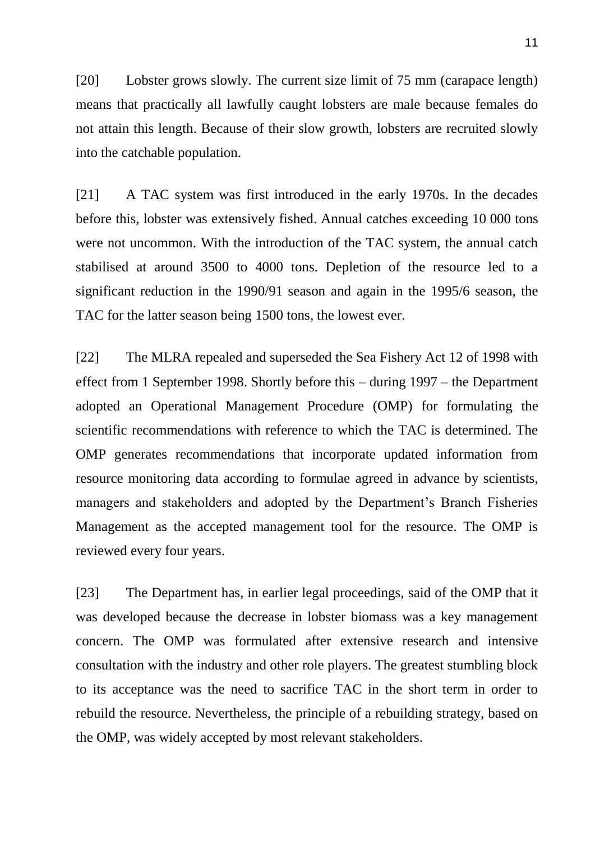[20] Lobster grows slowly. The current size limit of 75 mm (carapace length) means that practically all lawfully caught lobsters are male because females do not attain this length. Because of their slow growth, lobsters are recruited slowly into the catchable population.

[21] A TAC system was first introduced in the early 1970s. In the decades before this, lobster was extensively fished. Annual catches exceeding 10 000 tons were not uncommon. With the introduction of the TAC system, the annual catch stabilised at around 3500 to 4000 tons. Depletion of the resource led to a significant reduction in the 1990/91 season and again in the 1995/6 season, the TAC for the latter season being 1500 tons, the lowest ever.

[22] The MLRA repealed and superseded the Sea Fishery Act 12 of 1998 with effect from 1 September 1998. Shortly before this – during 1997 – the Department adopted an Operational Management Procedure (OMP) for formulating the scientific recommendations with reference to which the TAC is determined. The OMP generates recommendations that incorporate updated information from resource monitoring data according to formulae agreed in advance by scientists, managers and stakeholders and adopted by the Department's Branch Fisheries Management as the accepted management tool for the resource. The OMP is reviewed every four years.

[23] The Department has, in earlier legal proceedings, said of the OMP that it was developed because the decrease in lobster biomass was a key management concern. The OMP was formulated after extensive research and intensive consultation with the industry and other role players. The greatest stumbling block to its acceptance was the need to sacrifice TAC in the short term in order to rebuild the resource. Nevertheless, the principle of a rebuilding strategy, based on the OMP, was widely accepted by most relevant stakeholders.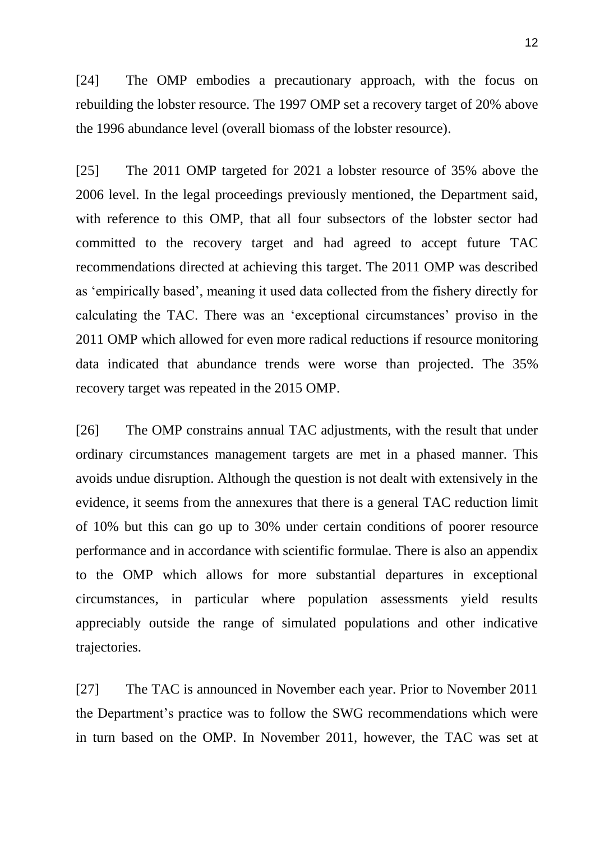[24] The OMP embodies a precautionary approach, with the focus on rebuilding the lobster resource. The 1997 OMP set a recovery target of 20% above the 1996 abundance level (overall biomass of the lobster resource).

[25] The 2011 OMP targeted for 2021 a lobster resource of 35% above the 2006 level. In the legal proceedings previously mentioned, the Department said, with reference to this OMP, that all four subsectors of the lobster sector had committed to the recovery target and had agreed to accept future TAC recommendations directed at achieving this target. The 2011 OMP was described as 'empirically based', meaning it used data collected from the fishery directly for calculating the TAC. There was an 'exceptional circumstances' proviso in the 2011 OMP which allowed for even more radical reductions if resource monitoring data indicated that abundance trends were worse than projected. The 35% recovery target was repeated in the 2015 OMP.

[26] The OMP constrains annual TAC adjustments, with the result that under ordinary circumstances management targets are met in a phased manner. This avoids undue disruption. Although the question is not dealt with extensively in the evidence, it seems from the annexures that there is a general TAC reduction limit of 10% but this can go up to 30% under certain conditions of poorer resource performance and in accordance with scientific formulae. There is also an appendix to the OMP which allows for more substantial departures in exceptional circumstances, in particular where population assessments yield results appreciably outside the range of simulated populations and other indicative trajectories.

[27] The TAC is announced in November each year. Prior to November 2011 the Department's practice was to follow the SWG recommendations which were in turn based on the OMP. In November 2011, however, the TAC was set at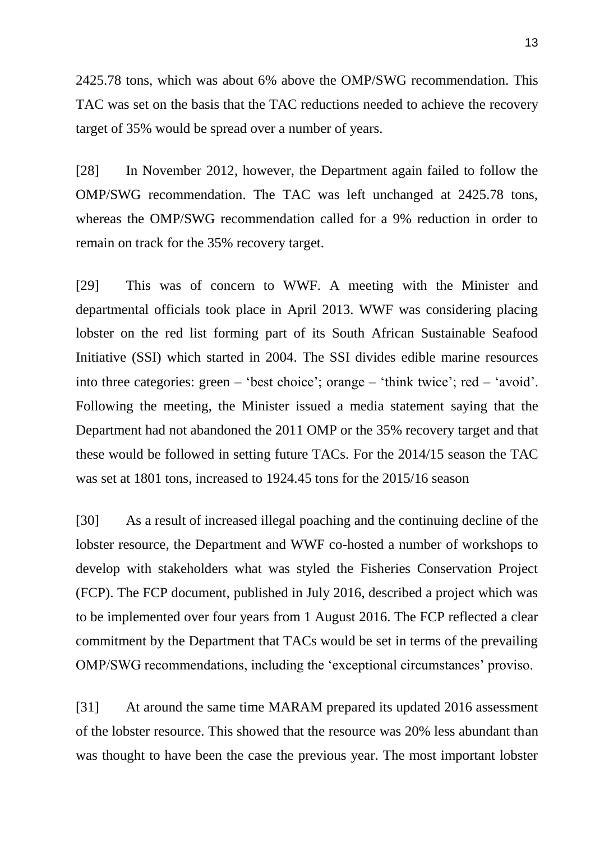2425.78 tons, which was about 6% above the OMP/SWG recommendation. This TAC was set on the basis that the TAC reductions needed to achieve the recovery target of 35% would be spread over a number of years.

[28] In November 2012, however, the Department again failed to follow the OMP/SWG recommendation. The TAC was left unchanged at 2425.78 tons, whereas the OMP/SWG recommendation called for a 9% reduction in order to remain on track for the 35% recovery target.

[29] This was of concern to WWF. A meeting with the Minister and departmental officials took place in April 2013. WWF was considering placing lobster on the red list forming part of its South African Sustainable Seafood Initiative (SSI) which started in 2004. The SSI divides edible marine resources into three categories: green – 'best choice'; orange – 'think twice'; red – 'avoid'. Following the meeting, the Minister issued a media statement saying that the Department had not abandoned the 2011 OMP or the 35% recovery target and that these would be followed in setting future TACs. For the 2014/15 season the TAC was set at 1801 tons, increased to 1924.45 tons for the 2015/16 season

[30] As a result of increased illegal poaching and the continuing decline of the lobster resource, the Department and WWF co-hosted a number of workshops to develop with stakeholders what was styled the Fisheries Conservation Project (FCP). The FCP document, published in July 2016, described a project which was to be implemented over four years from 1 August 2016. The FCP reflected a clear commitment by the Department that TACs would be set in terms of the prevailing OMP/SWG recommendations, including the 'exceptional circumstances' proviso.

[31] At around the same time MARAM prepared its updated 2016 assessment of the lobster resource. This showed that the resource was 20% less abundant than was thought to have been the case the previous year. The most important lobster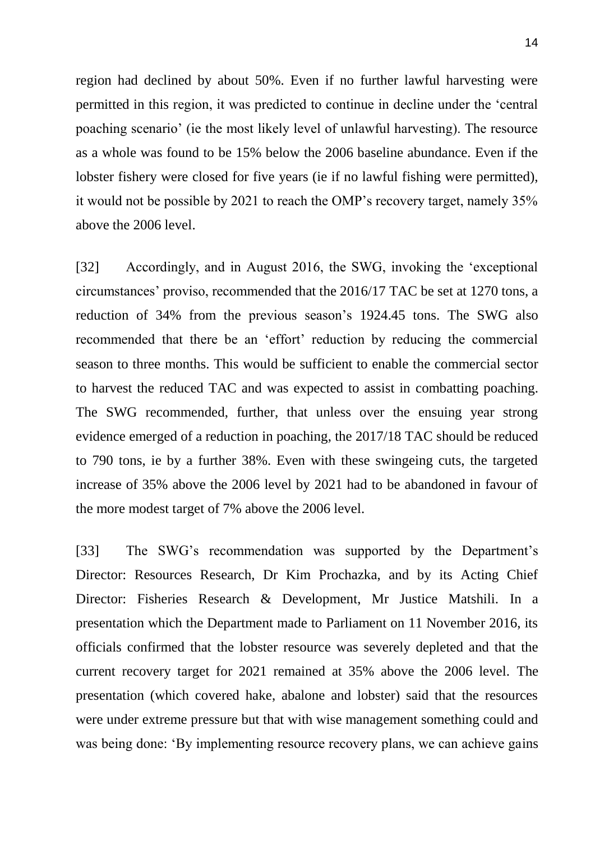region had declined by about 50%. Even if no further lawful harvesting were permitted in this region, it was predicted to continue in decline under the 'central poaching scenario' (ie the most likely level of unlawful harvesting). The resource as a whole was found to be 15% below the 2006 baseline abundance. Even if the lobster fishery were closed for five years (ie if no lawful fishing were permitted), it would not be possible by 2021 to reach the OMP's recovery target, namely 35% above the 2006 level.

[32] Accordingly, and in August 2016, the SWG, invoking the 'exceptional circumstances' proviso, recommended that the 2016/17 TAC be set at 1270 tons, a reduction of 34% from the previous season's 1924.45 tons. The SWG also recommended that there be an 'effort' reduction by reducing the commercial season to three months. This would be sufficient to enable the commercial sector to harvest the reduced TAC and was expected to assist in combatting poaching. The SWG recommended, further, that unless over the ensuing year strong evidence emerged of a reduction in poaching, the 2017/18 TAC should be reduced to 790 tons, ie by a further 38%. Even with these swingeing cuts, the targeted increase of 35% above the 2006 level by 2021 had to be abandoned in favour of the more modest target of 7% above the 2006 level.

[33] The SWG's recommendation was supported by the Department's Director: Resources Research, Dr Kim Prochazka, and by its Acting Chief Director: Fisheries Research & Development, Mr Justice Matshili. In a presentation which the Department made to Parliament on 11 November 2016, its officials confirmed that the lobster resource was severely depleted and that the current recovery target for 2021 remained at 35% above the 2006 level. The presentation (which covered hake, abalone and lobster) said that the resources were under extreme pressure but that with wise management something could and was being done: 'By implementing resource recovery plans, we can achieve gains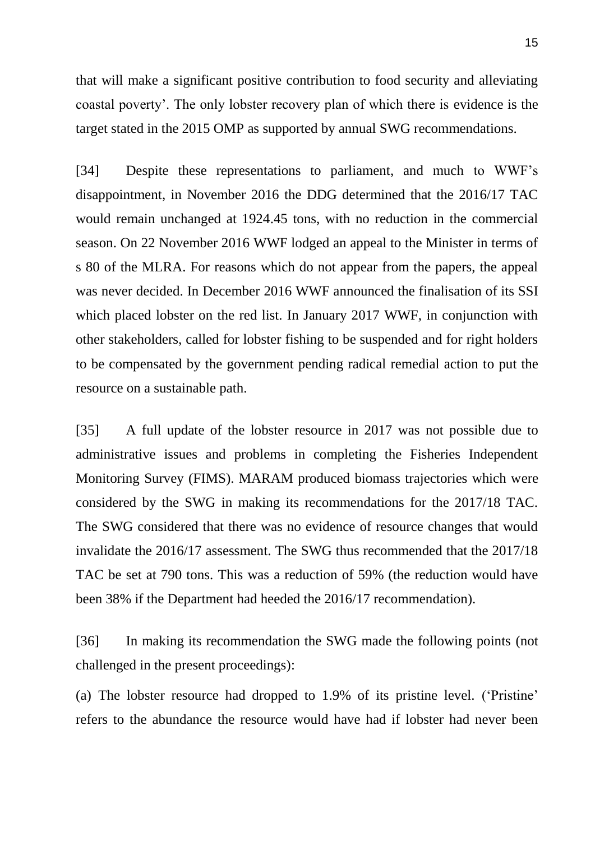that will make a significant positive contribution to food security and alleviating coastal poverty'. The only lobster recovery plan of which there is evidence is the target stated in the 2015 OMP as supported by annual SWG recommendations.

[34] Despite these representations to parliament, and much to WWF's disappointment, in November 2016 the DDG determined that the 2016/17 TAC would remain unchanged at 1924.45 tons, with no reduction in the commercial season. On 22 November 2016 WWF lodged an appeal to the Minister in terms of s 80 of the MLRA. For reasons which do not appear from the papers, the appeal was never decided. In December 2016 WWF announced the finalisation of its SSI which placed lobster on the red list. In January 2017 WWF, in conjunction with other stakeholders, called for lobster fishing to be suspended and for right holders to be compensated by the government pending radical remedial action to put the resource on a sustainable path.

[35] A full update of the lobster resource in 2017 was not possible due to administrative issues and problems in completing the Fisheries Independent Monitoring Survey (FIMS). MARAM produced biomass trajectories which were considered by the SWG in making its recommendations for the 2017/18 TAC. The SWG considered that there was no evidence of resource changes that would invalidate the 2016/17 assessment. The SWG thus recommended that the 2017/18 TAC be set at 790 tons. This was a reduction of 59% (the reduction would have been 38% if the Department had heeded the 2016/17 recommendation).

[36] In making its recommendation the SWG made the following points (not challenged in the present proceedings):

(a) The lobster resource had dropped to 1.9% of its pristine level. ('Pristine' refers to the abundance the resource would have had if lobster had never been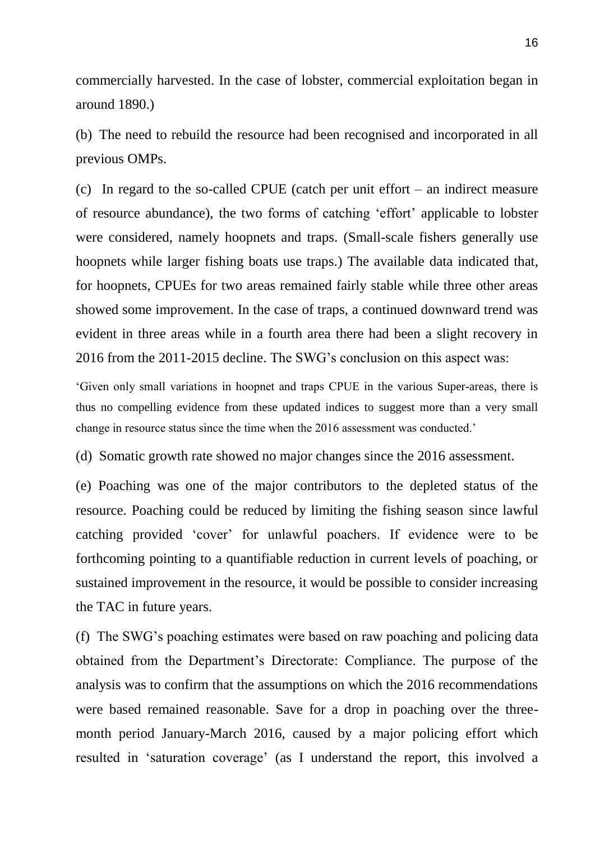commercially harvested. In the case of lobster, commercial exploitation began in around 1890.)

(b) The need to rebuild the resource had been recognised and incorporated in all previous OMPs.

(c) In regard to the so-called CPUE (catch per unit effort – an indirect measure of resource abundance), the two forms of catching 'effort' applicable to lobster were considered, namely hoopnets and traps. (Small-scale fishers generally use hoopnets while larger fishing boats use traps.) The available data indicated that, for hoopnets, CPUEs for two areas remained fairly stable while three other areas showed some improvement. In the case of traps, a continued downward trend was evident in three areas while in a fourth area there had been a slight recovery in 2016 from the 2011-2015 decline. The SWG's conclusion on this aspect was:

'Given only small variations in hoopnet and traps CPUE in the various Super-areas, there is thus no compelling evidence from these updated indices to suggest more than a very small change in resource status since the time when the 2016 assessment was conducted.'

(d) Somatic growth rate showed no major changes since the 2016 assessment.

(e) Poaching was one of the major contributors to the depleted status of the resource. Poaching could be reduced by limiting the fishing season since lawful catching provided 'cover' for unlawful poachers. If evidence were to be forthcoming pointing to a quantifiable reduction in current levels of poaching, or sustained improvement in the resource, it would be possible to consider increasing the TAC in future years.

(f) The SWG's poaching estimates were based on raw poaching and policing data obtained from the Department's Directorate: Compliance. The purpose of the analysis was to confirm that the assumptions on which the 2016 recommendations were based remained reasonable. Save for a drop in poaching over the threemonth period January-March 2016, caused by a major policing effort which resulted in 'saturation coverage' (as I understand the report, this involved a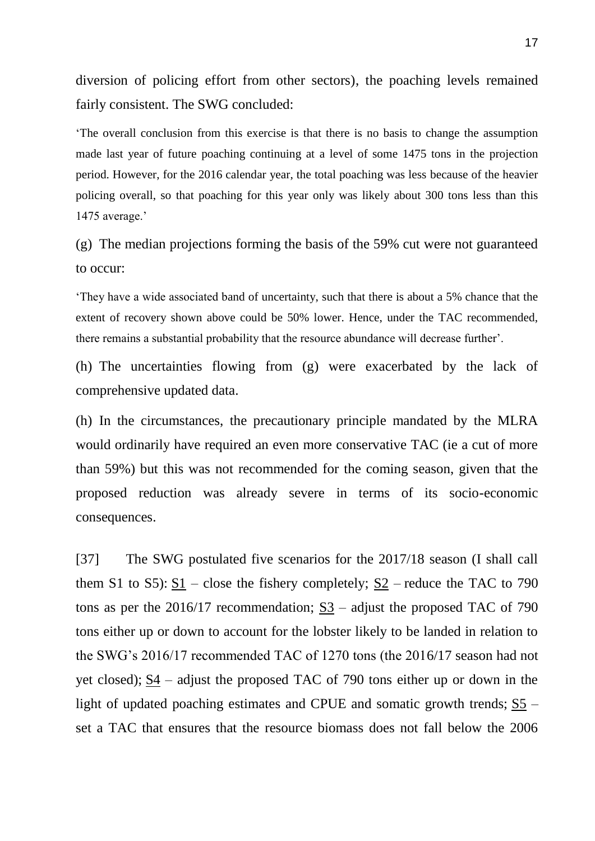diversion of policing effort from other sectors), the poaching levels remained fairly consistent. The SWG concluded:

'The overall conclusion from this exercise is that there is no basis to change the assumption made last year of future poaching continuing at a level of some 1475 tons in the projection period. However, for the 2016 calendar year, the total poaching was less because of the heavier policing overall, so that poaching for this year only was likely about 300 tons less than this 1475 average.'

(g) The median projections forming the basis of the 59% cut were not guaranteed to occur:

'They have a wide associated band of uncertainty, such that there is about a 5% chance that the extent of recovery shown above could be 50% lower. Hence, under the TAC recommended, there remains a substantial probability that the resource abundance will decrease further'.

(h) The uncertainties flowing from (g) were exacerbated by the lack of comprehensive updated data.

(h) In the circumstances, the precautionary principle mandated by the MLRA would ordinarily have required an even more conservative TAC (ie a cut of more than 59%) but this was not recommended for the coming season, given that the proposed reduction was already severe in terms of its socio-economic consequences.

[37] The SWG postulated five scenarios for the 2017/18 season (I shall call them S1 to S5):  $S1$  – close the fishery completely;  $S2$  – reduce the TAC to 790 tons as per the  $2016/17$  recommendation; S3 – adjust the proposed TAC of 790 tons either up or down to account for the lobster likely to be landed in relation to the SWG's 2016/17 recommended TAC of 1270 tons (the 2016/17 season had not yet closed);  $\underline{S4}$  – adjust the proposed TAC of 790 tons either up or down in the light of updated poaching estimates and CPUE and somatic growth trends; S5 – set a TAC that ensures that the resource biomass does not fall below the 2006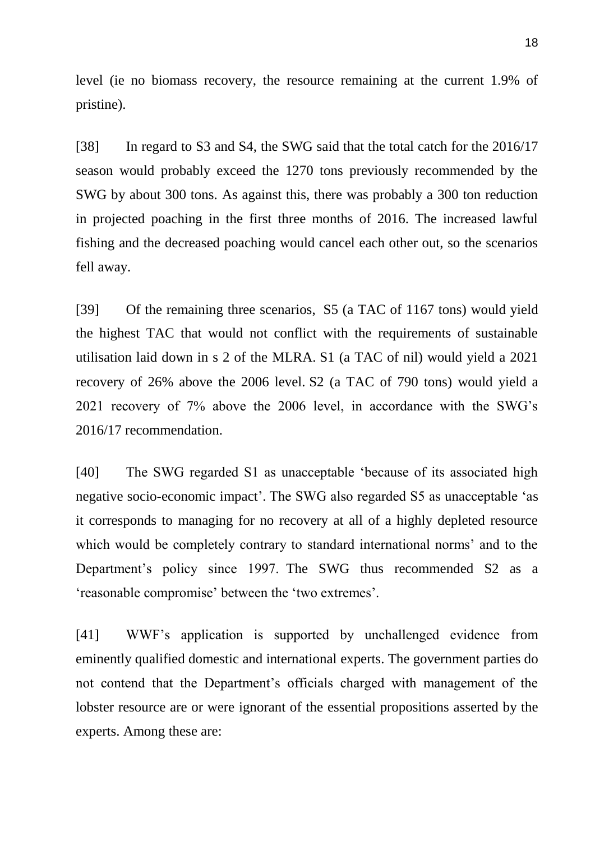level (ie no biomass recovery, the resource remaining at the current 1.9% of pristine).

[38] In regard to S3 and S4, the SWG said that the total catch for the 2016/17 season would probably exceed the 1270 tons previously recommended by the SWG by about 300 tons. As against this, there was probably a 300 ton reduction in projected poaching in the first three months of 2016. The increased lawful fishing and the decreased poaching would cancel each other out, so the scenarios fell away.

[39] Of the remaining three scenarios, S5 (a TAC of 1167 tons) would yield the highest TAC that would not conflict with the requirements of sustainable utilisation laid down in s 2 of the MLRA. S1 (a TAC of nil) would yield a 2021 recovery of 26% above the 2006 level. S2 (a TAC of 790 tons) would yield a 2021 recovery of 7% above the 2006 level, in accordance with the SWG's 2016/17 recommendation.

[40] The SWG regarded S1 as unacceptable 'because of its associated high negative socio-economic impact'. The SWG also regarded S5 as unacceptable 'as it corresponds to managing for no recovery at all of a highly depleted resource which would be completely contrary to standard international norms' and to the Department's policy since 1997. The SWG thus recommended S2 as a 'reasonable compromise' between the 'two extremes'.

[41] WWF's application is supported by unchallenged evidence from eminently qualified domestic and international experts. The government parties do not contend that the Department's officials charged with management of the lobster resource are or were ignorant of the essential propositions asserted by the experts. Among these are: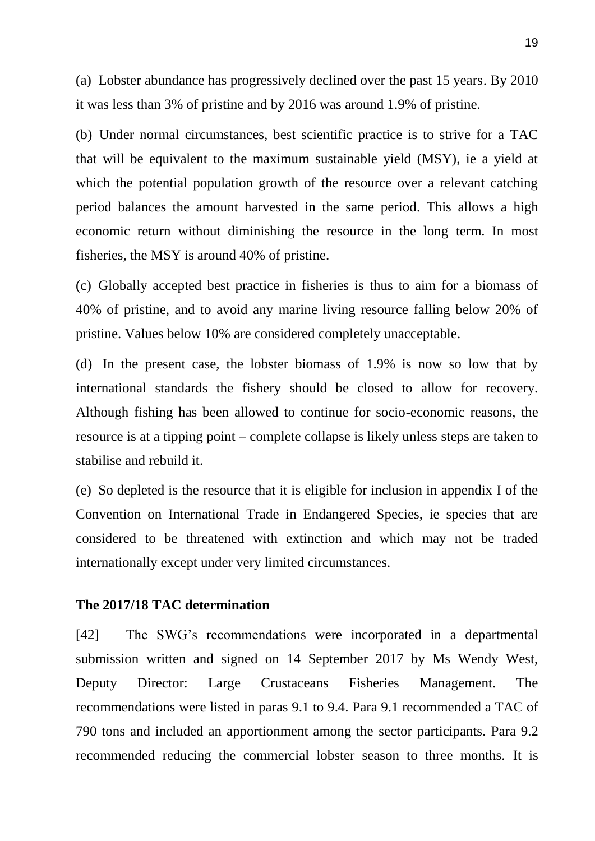(a) Lobster abundance has progressively declined over the past 15 years. By 2010 it was less than 3% of pristine and by 2016 was around 1.9% of pristine.

(b) Under normal circumstances, best scientific practice is to strive for a TAC that will be equivalent to the maximum sustainable yield (MSY), ie a yield at which the potential population growth of the resource over a relevant catching period balances the amount harvested in the same period. This allows a high economic return without diminishing the resource in the long term. In most fisheries, the MSY is around 40% of pristine.

(c) Globally accepted best practice in fisheries is thus to aim for a biomass of 40% of pristine, and to avoid any marine living resource falling below 20% of pristine. Values below 10% are considered completely unacceptable.

(d) In the present case, the lobster biomass of 1.9% is now so low that by international standards the fishery should be closed to allow for recovery. Although fishing has been allowed to continue for socio-economic reasons, the resource is at a tipping point – complete collapse is likely unless steps are taken to stabilise and rebuild it.

(e) So depleted is the resource that it is eligible for inclusion in appendix I of the Convention on International Trade in Endangered Species, ie species that are considered to be threatened with extinction and which may not be traded internationally except under very limited circumstances.

## **The 2017/18 TAC determination**

[42] The SWG's recommendations were incorporated in a departmental submission written and signed on 14 September 2017 by Ms Wendy West, Deputy Director: Large Crustaceans Fisheries Management. The recommendations were listed in paras 9.1 to 9.4. Para 9.1 recommended a TAC of 790 tons and included an apportionment among the sector participants. Para 9.2 recommended reducing the commercial lobster season to three months. It is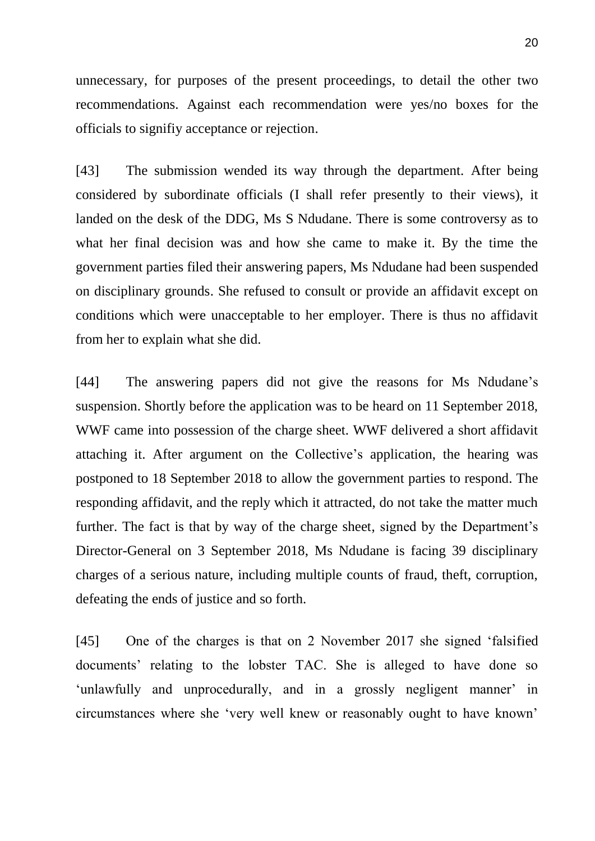unnecessary, for purposes of the present proceedings, to detail the other two recommendations. Against each recommendation were yes/no boxes for the officials to signifiy acceptance or rejection.

[43] The submission wended its way through the department. After being considered by subordinate officials (I shall refer presently to their views), it landed on the desk of the DDG, Ms S Ndudane. There is some controversy as to what her final decision was and how she came to make it. By the time the government parties filed their answering papers, Ms Ndudane had been suspended on disciplinary grounds. She refused to consult or provide an affidavit except on conditions which were unacceptable to her employer. There is thus no affidavit from her to explain what she did.

[44] The answering papers did not give the reasons for Ms Ndudane's suspension. Shortly before the application was to be heard on 11 September 2018, WWF came into possession of the charge sheet. WWF delivered a short affidavit attaching it. After argument on the Collective's application, the hearing was postponed to 18 September 2018 to allow the government parties to respond. The responding affidavit, and the reply which it attracted, do not take the matter much further. The fact is that by way of the charge sheet, signed by the Department's Director-General on 3 September 2018, Ms Ndudane is facing 39 disciplinary charges of a serious nature, including multiple counts of fraud, theft, corruption, defeating the ends of justice and so forth.

[45] One of the charges is that on 2 November 2017 she signed 'falsified documents' relating to the lobster TAC. She is alleged to have done so 'unlawfully and unprocedurally, and in a grossly negligent manner' in circumstances where she 'very well knew or reasonably ought to have known'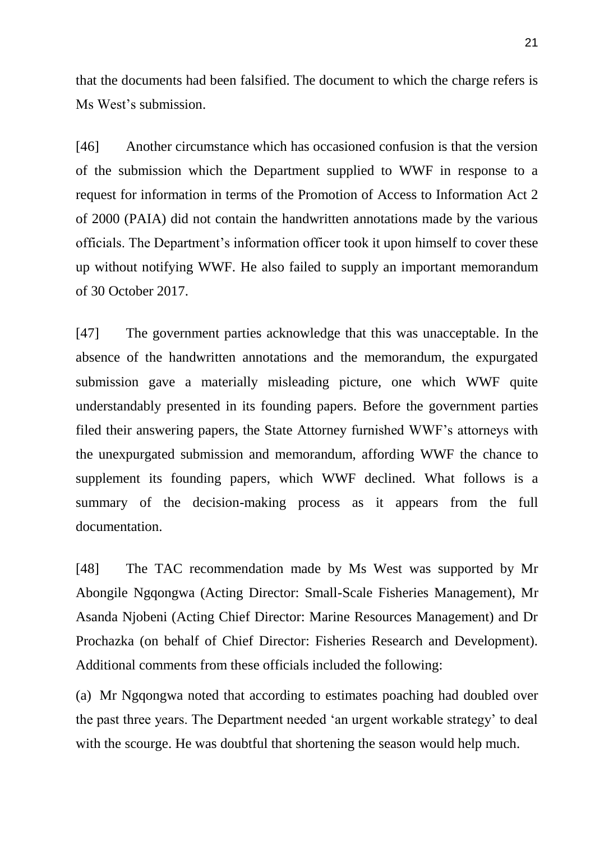that the documents had been falsified. The document to which the charge refers is Ms West's submission.

[46] Another circumstance which has occasioned confusion is that the version of the submission which the Department supplied to WWF in response to a request for information in terms of the Promotion of Access to Information Act 2 of 2000 (PAIA) did not contain the handwritten annotations made by the various officials. The Department's information officer took it upon himself to cover these up without notifying WWF. He also failed to supply an important memorandum of 30 October 2017.

[47] The government parties acknowledge that this was unacceptable. In the absence of the handwritten annotations and the memorandum, the expurgated submission gave a materially misleading picture, one which WWF quite understandably presented in its founding papers. Before the government parties filed their answering papers, the State Attorney furnished WWF's attorneys with the unexpurgated submission and memorandum, affording WWF the chance to supplement its founding papers, which WWF declined. What follows is a summary of the decision-making process as it appears from the full documentation.

[48] The TAC recommendation made by Ms West was supported by Mr Abongile Ngqongwa (Acting Director: Small-Scale Fisheries Management), Mr Asanda Njobeni (Acting Chief Director: Marine Resources Management) and Dr Prochazka (on behalf of Chief Director: Fisheries Research and Development). Additional comments from these officials included the following:

(a) Mr Ngqongwa noted that according to estimates poaching had doubled over the past three years. The Department needed 'an urgent workable strategy' to deal with the scourge. He was doubtful that shortening the season would help much.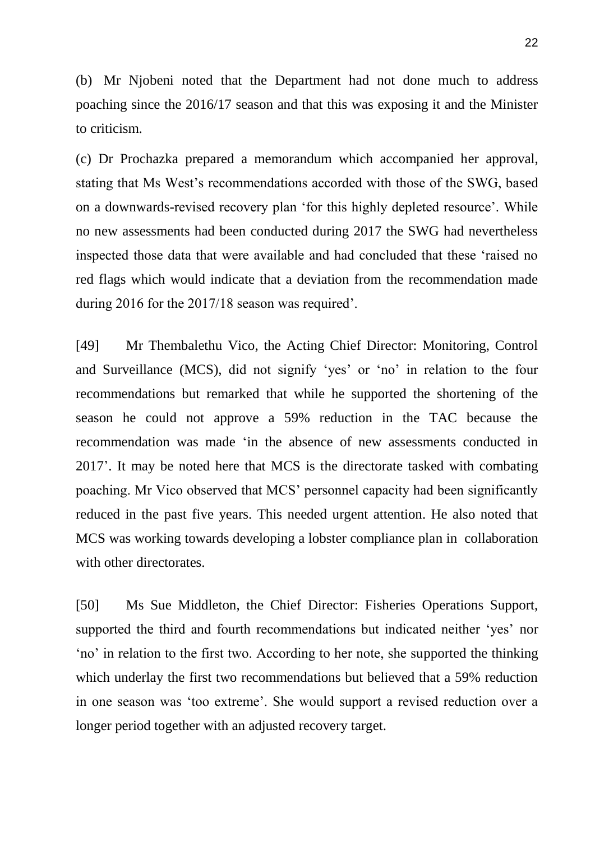(b) Mr Njobeni noted that the Department had not done much to address poaching since the 2016/17 season and that this was exposing it and the Minister to criticism.

(c) Dr Prochazka prepared a memorandum which accompanied her approval, stating that Ms West's recommendations accorded with those of the SWG, based on a downwards-revised recovery plan 'for this highly depleted resource'. While no new assessments had been conducted during 2017 the SWG had nevertheless inspected those data that were available and had concluded that these 'raised no red flags which would indicate that a deviation from the recommendation made during 2016 for the 2017/18 season was required'.

[49] Mr Thembalethu Vico, the Acting Chief Director: Monitoring, Control and Surveillance (MCS), did not signify 'yes' or 'no' in relation to the four recommendations but remarked that while he supported the shortening of the season he could not approve a 59% reduction in the TAC because the recommendation was made 'in the absence of new assessments conducted in 2017'. It may be noted here that MCS is the directorate tasked with combating poaching. Mr Vico observed that MCS' personnel capacity had been significantly reduced in the past five years. This needed urgent attention. He also noted that MCS was working towards developing a lobster compliance plan in collaboration with other directorates.

[50] Ms Sue Middleton, the Chief Director: Fisheries Operations Support, supported the third and fourth recommendations but indicated neither 'yes' nor 'no' in relation to the first two. According to her note, she supported the thinking which underlay the first two recommendations but believed that a 59% reduction in one season was 'too extreme'. She would support a revised reduction over a longer period together with an adjusted recovery target.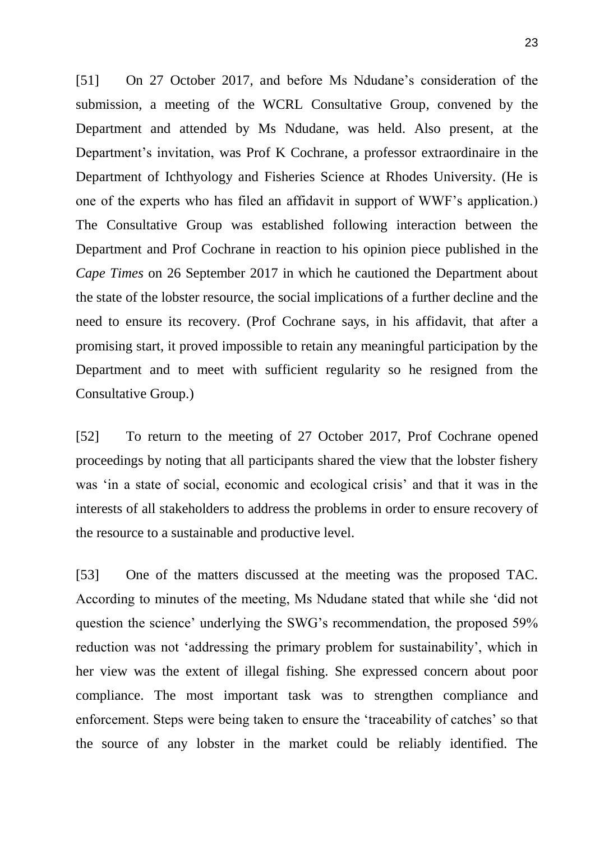[51] On 27 October 2017, and before Ms Ndudane's consideration of the submission, a meeting of the WCRL Consultative Group, convened by the Department and attended by Ms Ndudane, was held. Also present, at the Department's invitation, was Prof K Cochrane, a professor extraordinaire in the Department of Ichthyology and Fisheries Science at Rhodes University. (He is one of the experts who has filed an affidavit in support of WWF's application.) The Consultative Group was established following interaction between the Department and Prof Cochrane in reaction to his opinion piece published in the *Cape Times* on 26 September 2017 in which he cautioned the Department about the state of the lobster resource, the social implications of a further decline and the need to ensure its recovery. (Prof Cochrane says, in his affidavit, that after a promising start, it proved impossible to retain any meaningful participation by the Department and to meet with sufficient regularity so he resigned from the Consultative Group.)

[52] To return to the meeting of 27 October 2017, Prof Cochrane opened proceedings by noting that all participants shared the view that the lobster fishery was 'in a state of social, economic and ecological crisis' and that it was in the interests of all stakeholders to address the problems in order to ensure recovery of the resource to a sustainable and productive level.

[53] One of the matters discussed at the meeting was the proposed TAC. According to minutes of the meeting, Ms Ndudane stated that while she 'did not question the science' underlying the SWG's recommendation, the proposed 59% reduction was not 'addressing the primary problem for sustainability', which in her view was the extent of illegal fishing. She expressed concern about poor compliance. The most important task was to strengthen compliance and enforcement. Steps were being taken to ensure the 'traceability of catches' so that the source of any lobster in the market could be reliably identified. The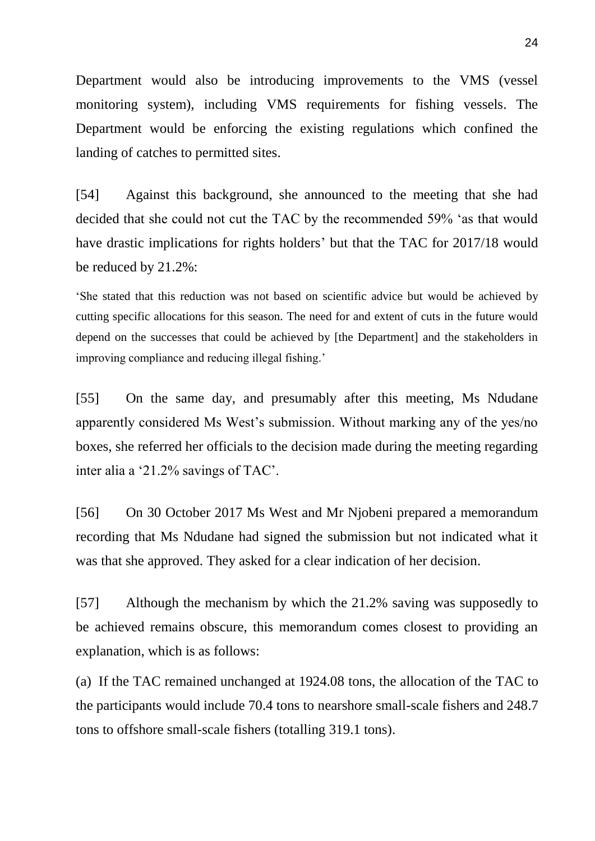Department would also be introducing improvements to the VMS (vessel monitoring system), including VMS requirements for fishing vessels. The Department would be enforcing the existing regulations which confined the landing of catches to permitted sites.

[54] Against this background, she announced to the meeting that she had decided that she could not cut the TAC by the recommended 59% 'as that would have drastic implications for rights holders' but that the TAC for 2017/18 would be reduced by 21.2%:

'She stated that this reduction was not based on scientific advice but would be achieved by cutting specific allocations for this season. The need for and extent of cuts in the future would depend on the successes that could be achieved by [the Department] and the stakeholders in improving compliance and reducing illegal fishing.'

[55] On the same day, and presumably after this meeting, Ms Ndudane apparently considered Ms West's submission. Without marking any of the yes/no boxes, she referred her officials to the decision made during the meeting regarding inter alia a '21.2% savings of TAC'.

[56] On 30 October 2017 Ms West and Mr Njobeni prepared a memorandum recording that Ms Ndudane had signed the submission but not indicated what it was that she approved. They asked for a clear indication of her decision.

[57] Although the mechanism by which the 21.2% saving was supposedly to be achieved remains obscure, this memorandum comes closest to providing an explanation, which is as follows:

(a) If the TAC remained unchanged at 1924.08 tons, the allocation of the TAC to the participants would include 70.4 tons to nearshore small-scale fishers and 248.7 tons to offshore small-scale fishers (totalling 319.1 tons).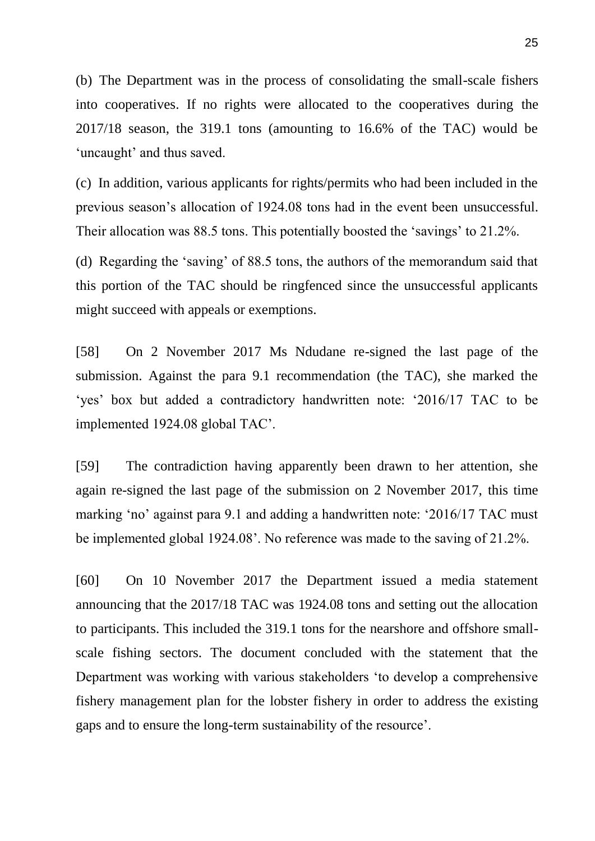(b) The Department was in the process of consolidating the small-scale fishers into cooperatives. If no rights were allocated to the cooperatives during the 2017/18 season, the 319.1 tons (amounting to 16.6% of the TAC) would be 'uncaught' and thus saved.

(c) In addition, various applicants for rights/permits who had been included in the previous season's allocation of 1924.08 tons had in the event been unsuccessful. Their allocation was 88.5 tons. This potentially boosted the 'savings' to 21.2%.

(d) Regarding the 'saving' of 88.5 tons, the authors of the memorandum said that this portion of the TAC should be ringfenced since the unsuccessful applicants might succeed with appeals or exemptions.

[58] On 2 November 2017 Ms Ndudane re-signed the last page of the submission. Against the para 9.1 recommendation (the TAC), she marked the 'yes' box but added a contradictory handwritten note: '2016/17 TAC to be implemented 1924.08 global TAC'.

[59] The contradiction having apparently been drawn to her attention, she again re-signed the last page of the submission on 2 November 2017, this time marking 'no' against para 9.1 and adding a handwritten note: '2016/17 TAC must be implemented global 1924.08'. No reference was made to the saving of 21.2%.

[60] On 10 November 2017 the Department issued a media statement announcing that the 2017/18 TAC was 1924.08 tons and setting out the allocation to participants. This included the 319.1 tons for the nearshore and offshore smallscale fishing sectors. The document concluded with the statement that the Department was working with various stakeholders 'to develop a comprehensive fishery management plan for the lobster fishery in order to address the existing gaps and to ensure the long-term sustainability of the resource'.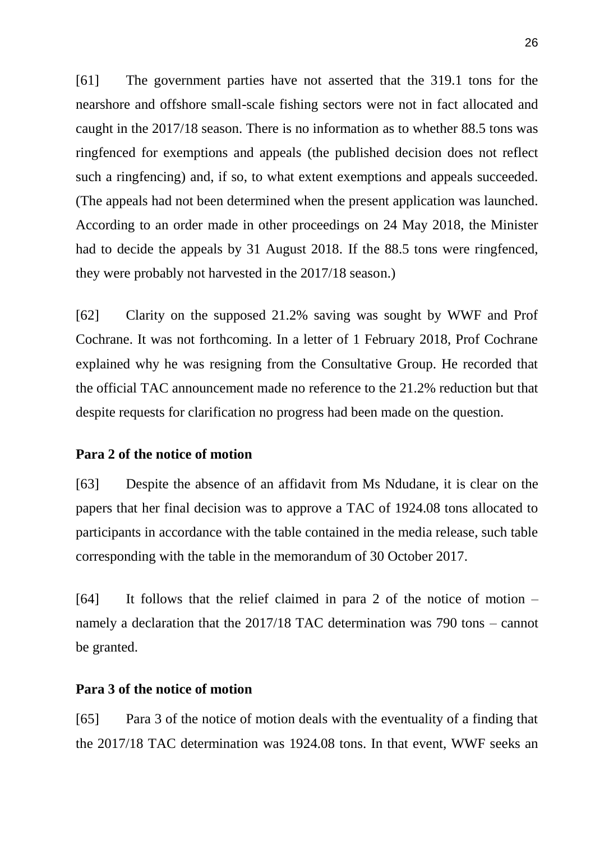[61] The government parties have not asserted that the 319.1 tons for the nearshore and offshore small-scale fishing sectors were not in fact allocated and caught in the 2017/18 season. There is no information as to whether 88.5 tons was ringfenced for exemptions and appeals (the published decision does not reflect such a ringfencing) and, if so, to what extent exemptions and appeals succeeded. (The appeals had not been determined when the present application was launched. According to an order made in other proceedings on 24 May 2018, the Minister had to decide the appeals by 31 August 2018. If the 88.5 tons were ringfenced, they were probably not harvested in the 2017/18 season.)

[62] Clarity on the supposed 21.2% saving was sought by WWF and Prof Cochrane. It was not forthcoming. In a letter of 1 February 2018, Prof Cochrane explained why he was resigning from the Consultative Group. He recorded that the official TAC announcement made no reference to the 21.2% reduction but that despite requests for clarification no progress had been made on the question.

## **Para 2 of the notice of motion**

[63] Despite the absence of an affidavit from Ms Ndudane, it is clear on the papers that her final decision was to approve a TAC of 1924.08 tons allocated to participants in accordance with the table contained in the media release, such table corresponding with the table in the memorandum of 30 October 2017.

[64] It follows that the relief claimed in para 2 of the notice of motion – namely a declaration that the 2017/18 TAC determination was 790 tons – cannot be granted.

## **Para 3 of the notice of motion**

[65] Para 3 of the notice of motion deals with the eventuality of a finding that the 2017/18 TAC determination was 1924.08 tons. In that event, WWF seeks an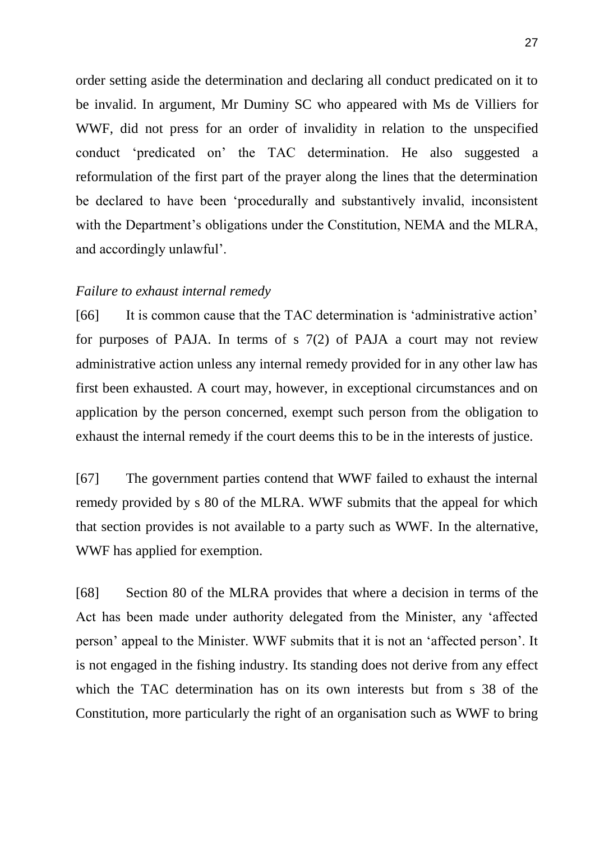order setting aside the determination and declaring all conduct predicated on it to be invalid. In argument, Mr Duminy SC who appeared with Ms de Villiers for WWF, did not press for an order of invalidity in relation to the unspecified conduct 'predicated on' the TAC determination. He also suggested a reformulation of the first part of the prayer along the lines that the determination be declared to have been 'procedurally and substantively invalid, inconsistent with the Department's obligations under the Constitution, NEMA and the MLRA, and accordingly unlawful'.

## *Failure to exhaust internal remedy*

[66] It is common cause that the TAC determination is 'administrative action' for purposes of PAJA. In terms of s 7(2) of PAJA a court may not review administrative action unless any internal remedy provided for in any other law has first been exhausted. A court may, however, in exceptional circumstances and on application by the person concerned, exempt such person from the obligation to exhaust the internal remedy if the court deems this to be in the interests of justice.

[67] The government parties contend that WWF failed to exhaust the internal remedy provided by s 80 of the MLRA. WWF submits that the appeal for which that section provides is not available to a party such as WWF. In the alternative, WWF has applied for exemption.

[68] Section 80 of the MLRA provides that where a decision in terms of the Act has been made under authority delegated from the Minister, any 'affected person' appeal to the Minister. WWF submits that it is not an 'affected person'. It is not engaged in the fishing industry. Its standing does not derive from any effect which the TAC determination has on its own interests but from s 38 of the Constitution, more particularly the right of an organisation such as WWF to bring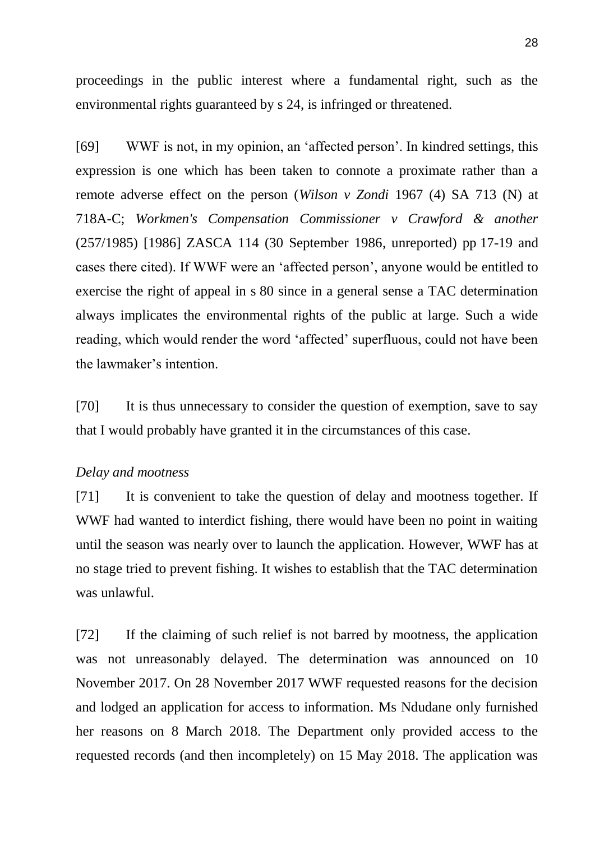proceedings in the public interest where a fundamental right, such as the environmental rights guaranteed by s 24, is infringed or threatened.

[69] WWF is not, in my opinion, an 'affected person'. In kindred settings, this expression is one which has been taken to connote a proximate rather than a remote adverse effect on the person (*Wilson v Zondi* 1967 (4) SA 713 (N) at 718A-C; *Workmen's Compensation Commissioner v Crawford & another* (257/1985) [1986] ZASCA 114 (30 September 1986, unreported) pp 17-19 and cases there cited). If WWF were an 'affected person', anyone would be entitled to exercise the right of appeal in s 80 since in a general sense a TAC determination always implicates the environmental rights of the public at large. Such a wide reading, which would render the word 'affected' superfluous, could not have been the lawmaker's intention.

[70] It is thus unnecessary to consider the question of exemption, save to say that I would probably have granted it in the circumstances of this case.

### *Delay and mootness*

[71] It is convenient to take the question of delay and mootness together. If WWF had wanted to interdict fishing, there would have been no point in waiting until the season was nearly over to launch the application. However, WWF has at no stage tried to prevent fishing. It wishes to establish that the TAC determination was unlawful.

[72] If the claiming of such relief is not barred by mootness, the application was not unreasonably delayed. The determination was announced on 10 November 2017. On 28 November 2017 WWF requested reasons for the decision and lodged an application for access to information. Ms Ndudane only furnished her reasons on 8 March 2018. The Department only provided access to the requested records (and then incompletely) on 15 May 2018. The application was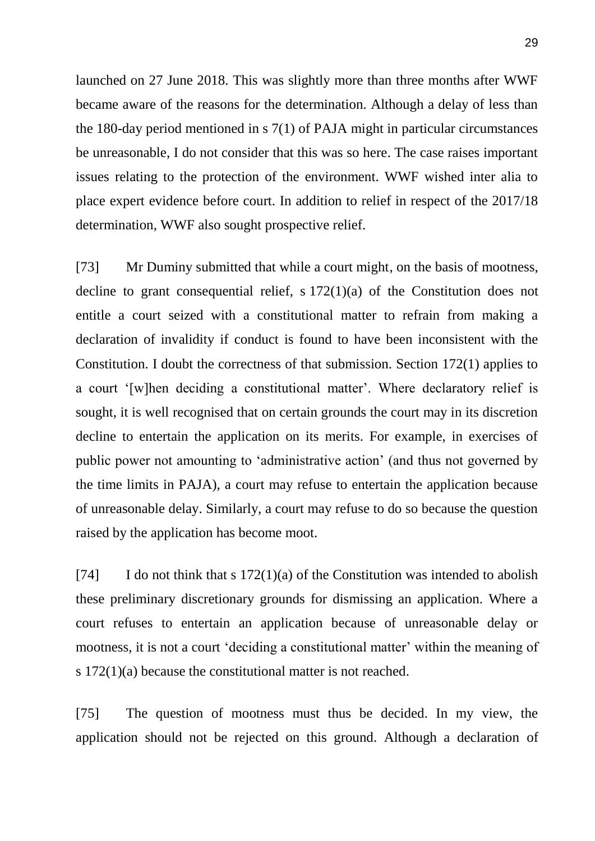launched on 27 June 2018. This was slightly more than three months after WWF became aware of the reasons for the determination. Although a delay of less than the 180-day period mentioned in s 7(1) of PAJA might in particular circumstances be unreasonable, I do not consider that this was so here. The case raises important issues relating to the protection of the environment. WWF wished inter alia to place expert evidence before court. In addition to relief in respect of the 2017/18 determination, WWF also sought prospective relief.

[73] Mr Duminy submitted that while a court might, on the basis of mootness, decline to grant consequential relief, s 172(1)(a) of the Constitution does not entitle a court seized with a constitutional matter to refrain from making a declaration of invalidity if conduct is found to have been inconsistent with the Constitution. I doubt the correctness of that submission. Section 172(1) applies to a court '[w]hen deciding a constitutional matter'. Where declaratory relief is sought, it is well recognised that on certain grounds the court may in its discretion decline to entertain the application on its merits. For example, in exercises of public power not amounting to 'administrative action' (and thus not governed by the time limits in PAJA), a court may refuse to entertain the application because of unreasonable delay. Similarly, a court may refuse to do so because the question raised by the application has become moot.

[74] I do not think that s  $172(1)(a)$  of the Constitution was intended to abolish these preliminary discretionary grounds for dismissing an application. Where a court refuses to entertain an application because of unreasonable delay or mootness, it is not a court 'deciding a constitutional matter' within the meaning of s 172(1)(a) because the constitutional matter is not reached.

[75] The question of mootness must thus be decided. In my view, the application should not be rejected on this ground. Although a declaration of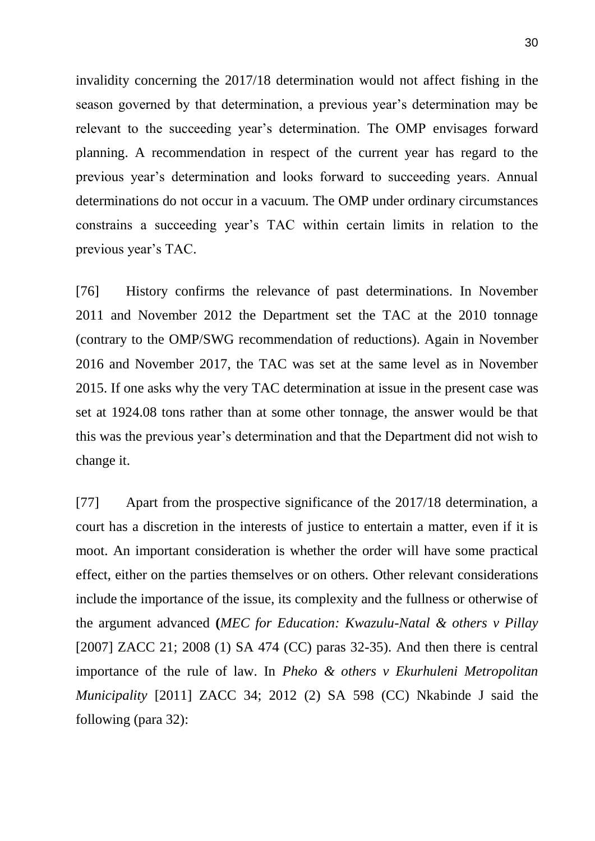invalidity concerning the 2017/18 determination would not affect fishing in the season governed by that determination, a previous year's determination may be relevant to the succeeding year's determination. The OMP envisages forward planning. A recommendation in respect of the current year has regard to the previous year's determination and looks forward to succeeding years. Annual determinations do not occur in a vacuum. The OMP under ordinary circumstances constrains a succeeding year's TAC within certain limits in relation to the previous year's TAC.

[76] History confirms the relevance of past determinations. In November 2011 and November 2012 the Department set the TAC at the 2010 tonnage (contrary to the OMP/SWG recommendation of reductions). Again in November 2016 and November 2017, the TAC was set at the same level as in November 2015. If one asks why the very TAC determination at issue in the present case was set at 1924.08 tons rather than at some other tonnage, the answer would be that this was the previous year's determination and that the Department did not wish to change it.

[77] Apart from the prospective significance of the 2017/18 determination, a court has a discretion in the interests of justice to entertain a matter, even if it is moot. An important consideration is whether the order will have some practical effect, either on the parties themselves or on others. Other relevant considerations include the importance of the issue, its complexity and the fullness or otherwise of the argument advanced **(***MEC for Education: Kwazulu-Natal & others v Pillay* [2007] ZACC 21; 2008 (1) SA 474 (CC) paras 32-35). And then there is central importance of the rule of law. In *Pheko & others v Ekurhuleni Metropolitan Municipality* [2011] ZACC 34; 2012 (2) SA 598 (CC) Nkabinde J said the following (para 32):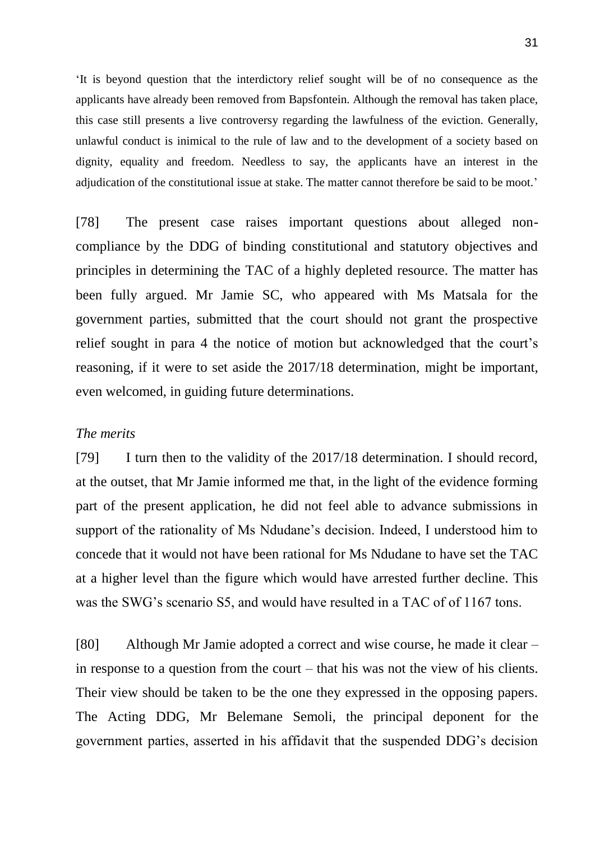'It is beyond question that the interdictory relief sought will be of no consequence as the applicants have already been removed from Bapsfontein. Although the removal has taken place, this case still presents a live controversy regarding the lawfulness of the eviction. Generally, unlawful conduct is inimical to the rule of law and to the development of a society based on dignity, equality and freedom. Needless to say, the applicants have an interest in the adjudication of the constitutional issue at stake. The matter cannot therefore be said to be moot.'

[78] The present case raises important questions about alleged noncompliance by the DDG of binding constitutional and statutory objectives and principles in determining the TAC of a highly depleted resource. The matter has been fully argued. Mr Jamie SC, who appeared with Ms Matsala for the government parties, submitted that the court should not grant the prospective relief sought in para 4 the notice of motion but acknowledged that the court's reasoning, if it were to set aside the 2017/18 determination, might be important, even welcomed, in guiding future determinations.

### *The merits*

[79] I turn then to the validity of the 2017/18 determination. I should record, at the outset, that Mr Jamie informed me that, in the light of the evidence forming part of the present application, he did not feel able to advance submissions in support of the rationality of Ms Ndudane's decision. Indeed, I understood him to concede that it would not have been rational for Ms Ndudane to have set the TAC at a higher level than the figure which would have arrested further decline. This was the SWG's scenario S5, and would have resulted in a TAC of of 1167 tons.

[80] Although Mr Jamie adopted a correct and wise course, he made it clear – in response to a question from the court – that his was not the view of his clients. Their view should be taken to be the one they expressed in the opposing papers. The Acting DDG, Mr Belemane Semoli, the principal deponent for the government parties, asserted in his affidavit that the suspended DDG's decision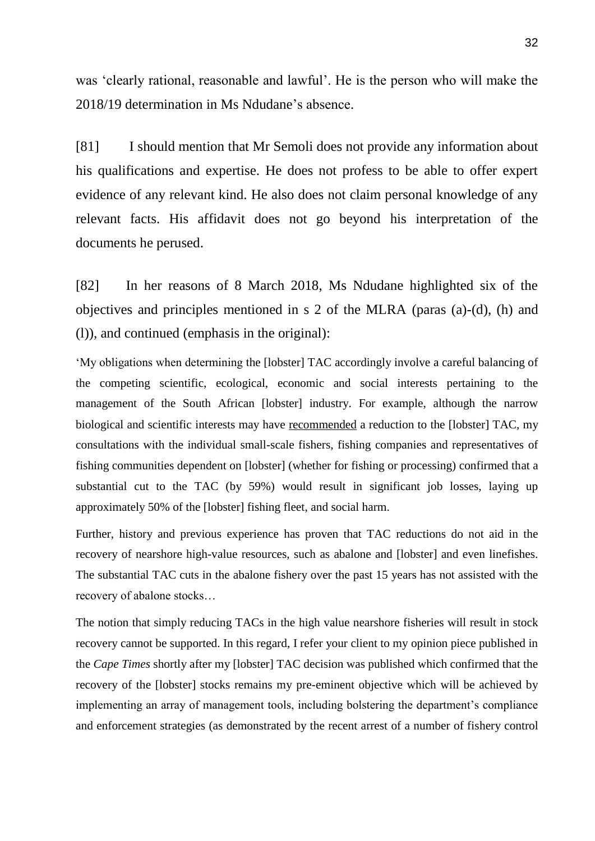was 'clearly rational, reasonable and lawful'. He is the person who will make the 2018/19 determination in Ms Ndudane's absence.

[81] I should mention that Mr Semoli does not provide any information about his qualifications and expertise. He does not profess to be able to offer expert evidence of any relevant kind. He also does not claim personal knowledge of any relevant facts. His affidavit does not go beyond his interpretation of the documents he perused.

[82] In her reasons of 8 March 2018, Ms Ndudane highlighted six of the objectives and principles mentioned in s 2 of the MLRA (paras (a)-(d), (h) and (l)), and continued (emphasis in the original):

'My obligations when determining the [lobster] TAC accordingly involve a careful balancing of the competing scientific, ecological, economic and social interests pertaining to the management of the South African [lobster] industry. For example, although the narrow biological and scientific interests may have recommended a reduction to the [lobster] TAC, my consultations with the individual small-scale fishers, fishing companies and representatives of fishing communities dependent on [lobster] (whether for fishing or processing) confirmed that a substantial cut to the TAC (by 59%) would result in significant job losses, laying up approximately 50% of the [lobster] fishing fleet, and social harm.

Further, history and previous experience has proven that TAC reductions do not aid in the recovery of nearshore high-value resources, such as abalone and [lobster] and even linefishes. The substantial TAC cuts in the abalone fishery over the past 15 years has not assisted with the recovery of abalone stocks…

The notion that simply reducing TACs in the high value nearshore fisheries will result in stock recovery cannot be supported. In this regard, I refer your client to my opinion piece published in the *Cape Times* shortly after my [lobster] TAC decision was published which confirmed that the recovery of the [lobster] stocks remains my pre-eminent objective which will be achieved by implementing an array of management tools, including bolstering the department's compliance and enforcement strategies (as demonstrated by the recent arrest of a number of fishery control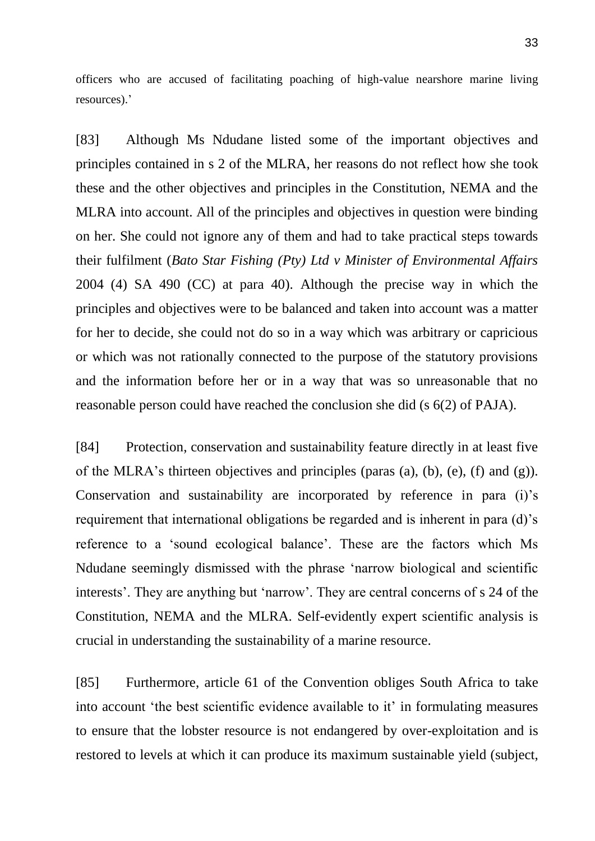officers who are accused of facilitating poaching of high-value nearshore marine living resources).'

[83] Although Ms Ndudane listed some of the important objectives and principles contained in s 2 of the MLRA, her reasons do not reflect how she took these and the other objectives and principles in the Constitution, NEMA and the MLRA into account. All of the principles and objectives in question were binding on her. She could not ignore any of them and had to take practical steps towards their fulfilment (*Bato Star Fishing (Pty) Ltd v Minister of Environmental Affairs*  2004 (4) SA 490 (CC) at para 40). Although the precise way in which the principles and objectives were to be balanced and taken into account was a matter for her to decide, she could not do so in a way which was arbitrary or capricious or which was not rationally connected to the purpose of the statutory provisions and the information before her or in a way that was so unreasonable that no reasonable person could have reached the conclusion she did (s 6(2) of PAJA).

[84] Protection, conservation and sustainability feature directly in at least five of the MLRA's thirteen objectives and principles (paras (a), (b), (e), (f) and (g)). Conservation and sustainability are incorporated by reference in para (i)'s requirement that international obligations be regarded and is inherent in para (d)'s reference to a 'sound ecological balance'. These are the factors which Ms Ndudane seemingly dismissed with the phrase 'narrow biological and scientific interests'. They are anything but 'narrow'. They are central concerns of s 24 of the Constitution, NEMA and the MLRA. Self-evidently expert scientific analysis is crucial in understanding the sustainability of a marine resource.

[85] Furthermore, article 61 of the Convention obliges South Africa to take into account 'the best scientific evidence available to it' in formulating measures to ensure that the lobster resource is not endangered by over-exploitation and is restored to levels at which it can produce its maximum sustainable yield (subject,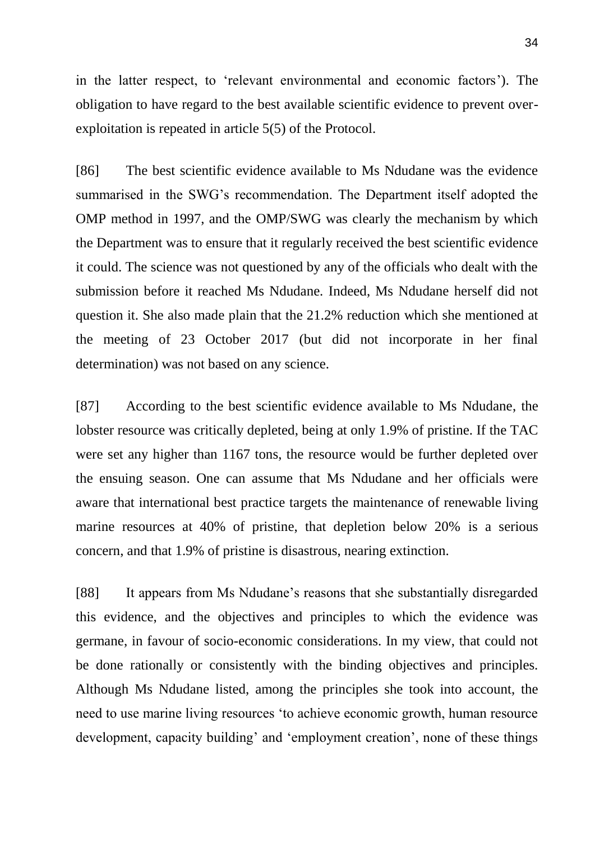in the latter respect, to 'relevant environmental and economic factors'). The obligation to have regard to the best available scientific evidence to prevent overexploitation is repeated in article 5(5) of the Protocol.

[86] The best scientific evidence available to Ms Ndudane was the evidence summarised in the SWG's recommendation. The Department itself adopted the OMP method in 1997, and the OMP/SWG was clearly the mechanism by which the Department was to ensure that it regularly received the best scientific evidence it could. The science was not questioned by any of the officials who dealt with the submission before it reached Ms Ndudane. Indeed, Ms Ndudane herself did not question it. She also made plain that the 21.2% reduction which she mentioned at the meeting of 23 October 2017 (but did not incorporate in her final determination) was not based on any science.

[87] According to the best scientific evidence available to Ms Ndudane, the lobster resource was critically depleted, being at only 1.9% of pristine. If the TAC were set any higher than 1167 tons, the resource would be further depleted over the ensuing season. One can assume that Ms Ndudane and her officials were aware that international best practice targets the maintenance of renewable living marine resources at 40% of pristine, that depletion below 20% is a serious concern, and that 1.9% of pristine is disastrous, nearing extinction.

[88] It appears from Ms Ndudane's reasons that she substantially disregarded this evidence, and the objectives and principles to which the evidence was germane, in favour of socio-economic considerations. In my view, that could not be done rationally or consistently with the binding objectives and principles. Although Ms Ndudane listed, among the principles she took into account, the need to use marine living resources 'to achieve economic growth, human resource development, capacity building' and 'employment creation', none of these things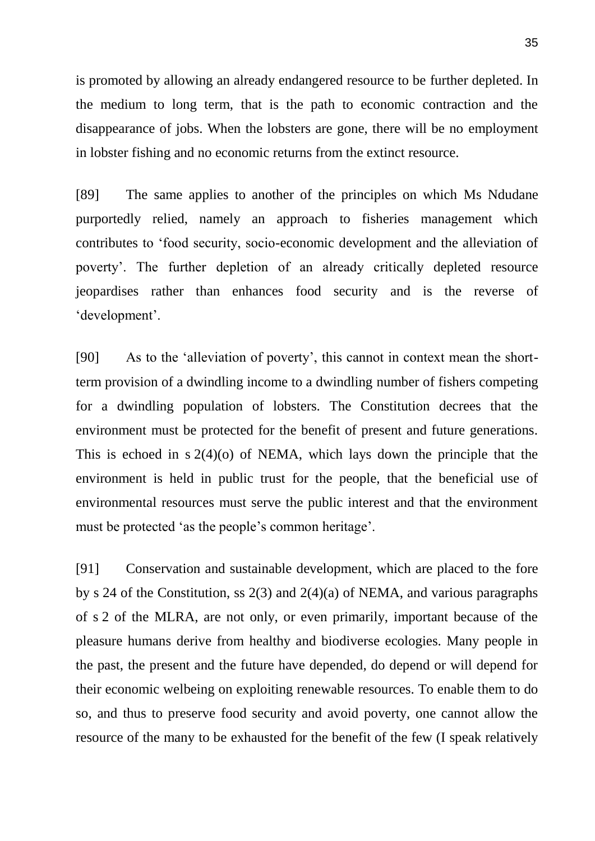is promoted by allowing an already endangered resource to be further depleted. In the medium to long term, that is the path to economic contraction and the disappearance of jobs. When the lobsters are gone, there will be no employment in lobster fishing and no economic returns from the extinct resource.

[89] The same applies to another of the principles on which Ms Ndudane purportedly relied, namely an approach to fisheries management which contributes to 'food security, socio-economic development and the alleviation of poverty'. The further depletion of an already critically depleted resource jeopardises rather than enhances food security and is the reverse of 'development'.

[90] As to the 'alleviation of poverty', this cannot in context mean the shortterm provision of a dwindling income to a dwindling number of fishers competing for a dwindling population of lobsters. The Constitution decrees that the environment must be protected for the benefit of present and future generations. This is echoed in s 2(4)(o) of NEMA, which lays down the principle that the environment is held in public trust for the people, that the beneficial use of environmental resources must serve the public interest and that the environment must be protected 'as the people's common heritage'.

[91] Conservation and sustainable development, which are placed to the fore by s 24 of the Constitution, ss 2(3) and 2(4)(a) of NEMA, and various paragraphs of s 2 of the MLRA, are not only, or even primarily, important because of the pleasure humans derive from healthy and biodiverse ecologies. Many people in the past, the present and the future have depended, do depend or will depend for their economic welbeing on exploiting renewable resources. To enable them to do so, and thus to preserve food security and avoid poverty, one cannot allow the resource of the many to be exhausted for the benefit of the few (I speak relatively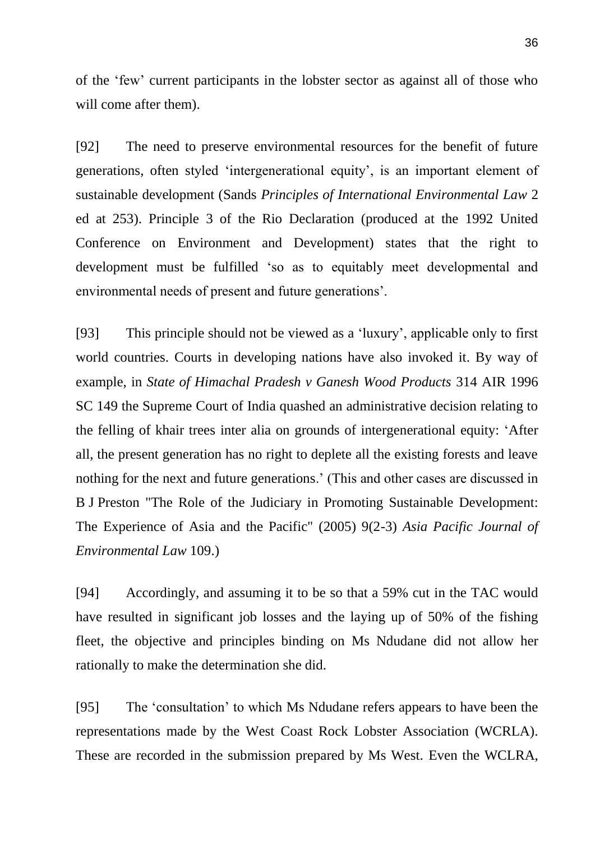of the 'few' current participants in the lobster sector as against all of those who will come after them).

[92] The need to preserve environmental resources for the benefit of future generations, often styled 'intergenerational equity', is an important element of sustainable development (Sands *Principles of International Environmental Law* 2 ed at 253). Principle 3 of the Rio Declaration (produced at the 1992 United Conference on Environment and Development) states that the right to development must be fulfilled 'so as to equitably meet developmental and environmental needs of present and future generations'.

[93] This principle should not be viewed as a 'luxury', applicable only to first world countries. Courts in developing nations have also invoked it. By way of example, in *State of Himachal Pradesh v Ganesh Wood Products* 314 AIR 1996 SC 149 the Supreme Court of India quashed an administrative decision relating to the felling of khair trees inter alia on grounds of intergenerational equity: 'After all, the present generation has no right to deplete all the existing forests and leave nothing for the next and future generations.' (This and other cases are discussed in B J Preston "The Role of the Judiciary in Promoting Sustainable Development: The Experience of Asia and the Pacific" (2005) 9(2-3) *Asia Pacific Journal of Environmental Law* 109.)

[94] Accordingly, and assuming it to be so that a 59% cut in the TAC would have resulted in significant job losses and the laying up of 50% of the fishing fleet, the objective and principles binding on Ms Ndudane did not allow her rationally to make the determination she did.

[95] The 'consultation' to which Ms Ndudane refers appears to have been the representations made by the West Coast Rock Lobster Association (WCRLA). These are recorded in the submission prepared by Ms West. Even the WCLRA,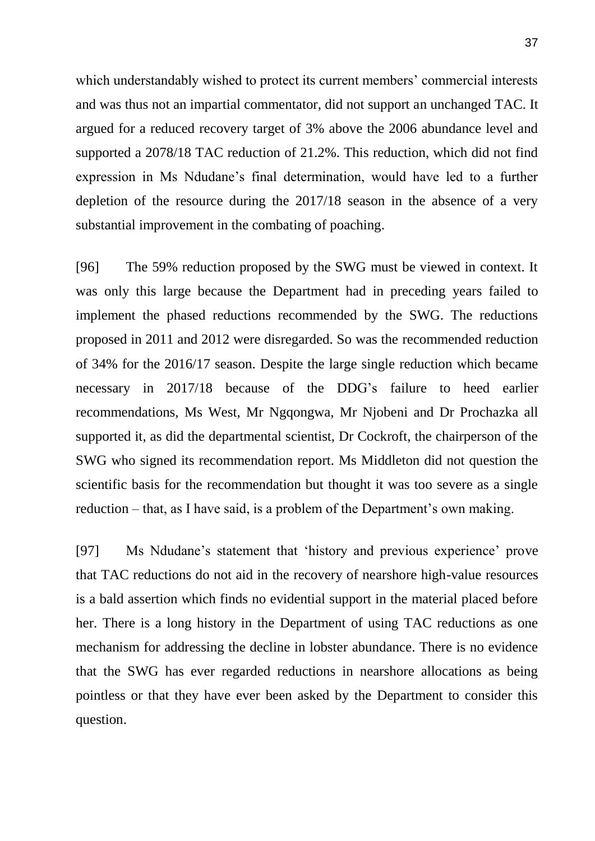which understandably wished to protect its current members' commercial interests and was thus not an impartial commentator, did not support an unchanged TAC. It argued for a reduced recovery target of 3% above the 2006 abundance level and supported a 2078/18 TAC reduction of 21.2%. This reduction, which did not find expression in Ms Ndudane's final determination, would have led to a further depletion of the resource during the 2017/18 season in the absence of a very substantial improvement in the combating of poaching.

[96] The 59% reduction proposed by the SWG must be viewed in context. It was only this large because the Department had in preceding years failed to implement the phased reductions recommended by the SWG. The reductions proposed in 2011 and 2012 were disregarded. So was the recommended reduction of 34% for the 2016/17 season. Despite the large single reduction which became necessary in 2017/18 because of the DDG's failure to heed earlier recommendations, Ms West, Mr Ngqongwa, Mr Njobeni and Dr Prochazka all supported it, as did the departmental scientist, Dr Cockroft, the chairperson of the SWG who signed its recommendation report. Ms Middleton did not question the scientific basis for the recommendation but thought it was too severe as a single reduction – that, as I have said, is a problem of the Department's own making.

[97] Ms Ndudane's statement that 'history and previous experience' prove that TAC reductions do not aid in the recovery of nearshore high-value resources is a bald assertion which finds no evidential support in the material placed before her. There is a long history in the Department of using TAC reductions as one mechanism for addressing the decline in lobster abundance. There is no evidence that the SWG has ever regarded reductions in nearshore allocations as being pointless or that they have ever been asked by the Department to consider this question.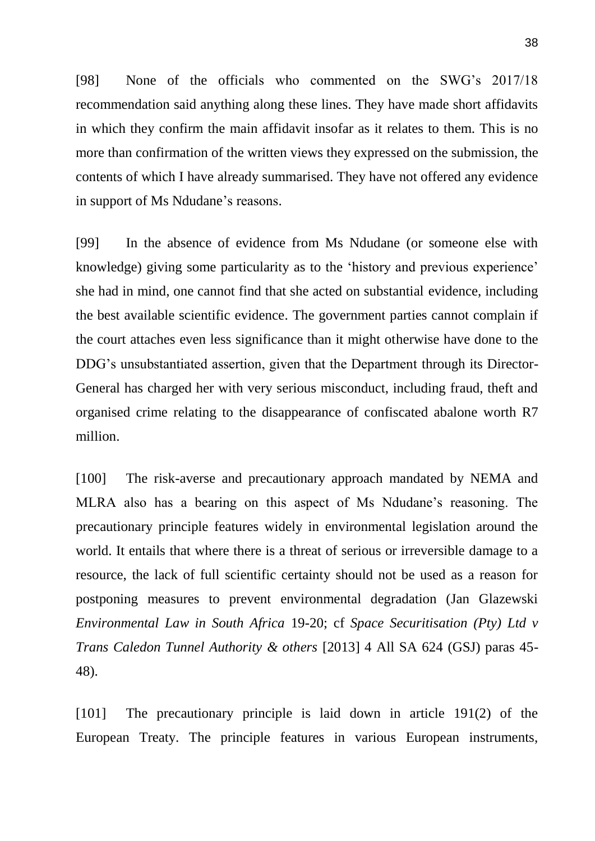[98] None of the officials who commented on the SWG's 2017/18 recommendation said anything along these lines. They have made short affidavits in which they confirm the main affidavit insofar as it relates to them. This is no more than confirmation of the written views they expressed on the submission, the contents of which I have already summarised. They have not offered any evidence in support of Ms Ndudane's reasons.

[99] In the absence of evidence from Ms Ndudane (or someone else with knowledge) giving some particularity as to the 'history and previous experience' she had in mind, one cannot find that she acted on substantial evidence, including the best available scientific evidence. The government parties cannot complain if the court attaches even less significance than it might otherwise have done to the DDG's unsubstantiated assertion, given that the Department through its Director-General has charged her with very serious misconduct, including fraud, theft and organised crime relating to the disappearance of confiscated abalone worth R7 million.

[100] The risk-averse and precautionary approach mandated by NEMA and MLRA also has a bearing on this aspect of Ms Ndudane's reasoning. The precautionary principle features widely in environmental legislation around the world. It entails that where there is a threat of serious or irreversible damage to a resource, the lack of full scientific certainty should not be used as a reason for postponing measures to prevent environmental degradation (Jan Glazewski *Environmental Law in South Africa* 19-20; cf *Space Securitisation (Pty) Ltd v Trans Caledon Tunnel Authority & others* [2013] 4 All SA 624 (GSJ) paras 45- 48).

[101] The precautionary principle is laid down in article 191(2) of the European Treaty. The principle features in various European instruments,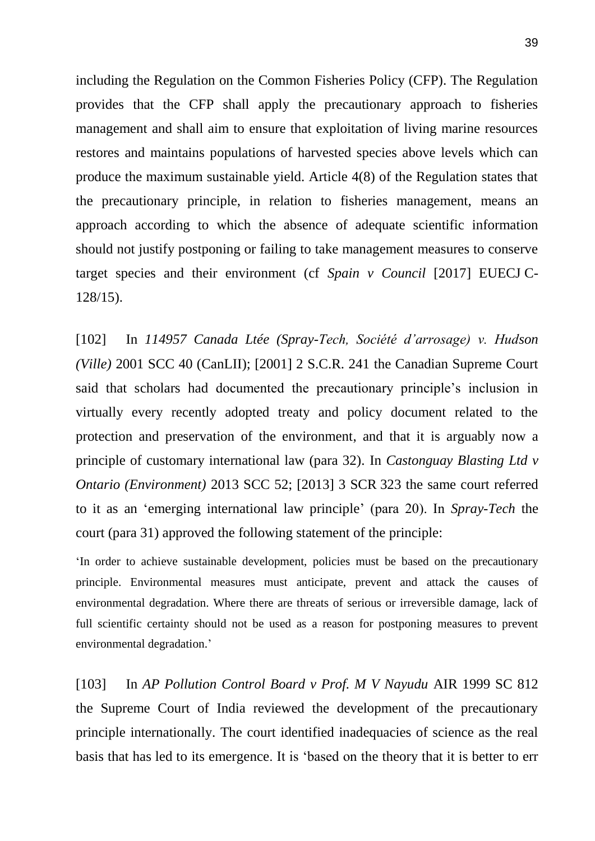including the Regulation on the Common Fisheries Policy (CFP). The Regulation provides that the CFP shall apply the precautionary approach to fisheries management and shall aim to ensure that exploitation of living marine resources restores and maintains populations of harvested species above levels which can produce the maximum sustainable yield. Article 4(8) of the Regulation states that the precautionary principle, in relation to fisheries management, means an approach according to which the absence of adequate scientific information should not justify postponing or failing to take management measures to conserve target species and their environment (cf *Spain v Council* [2017] EUECJ C-128/15).

[102] In *114957 Canada Ltée (Spray-Tech, Société d'arrosage) v. Hudson (Ville)* 2001 SCC 40 (CanLII); [2001] 2 S.C.R. 241 the Canadian Supreme Court said that scholars had documented the precautionary principle's inclusion in virtually every recently adopted treaty and policy document related to the protection and preservation of the environment, and that it is arguably now a principle of customary international law (para 32). In *Castonguay Blasting Ltd v Ontario (Environment)* 2013 SCC 52; [2013] 3 SCR 323 the same court referred to it as an 'emerging international law principle' (para 20). In *Spray-Tech* the court (para 31) approved the following statement of the principle:

'In order to achieve sustainable development, policies must be based on the precautionary principle. Environmental measures must anticipate, prevent and attack the causes of environmental degradation. Where there are threats of serious or irreversible damage, lack of full scientific certainty should not be used as a reason for postponing measures to prevent environmental degradation.'

[103] In *AP Pollution Control Board v Prof. M V Nayudu* AIR 1999 SC 812 the Supreme Court of India reviewed the development of the precautionary principle internationally. The court identified inadequacies of science as the real basis that has led to its emergence. It is 'based on the theory that it is better to err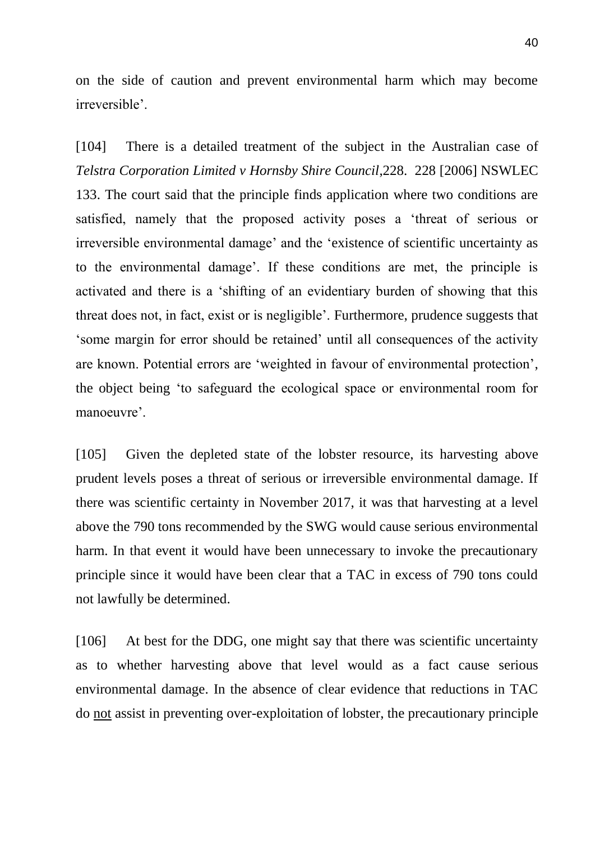on the side of caution and prevent environmental harm which may become irreversible'.

[104] There is a detailed treatment of the subject in the Australian case of *Telstra Corporation Limited v Hornsby Shire Council*,228. 228 [2006] NSWLEC 133. The court said that the principle finds application where two conditions are satisfied, namely that the proposed activity poses a 'threat of serious or irreversible environmental damage' and the 'existence of scientific uncertainty as to the environmental damage'. If these conditions are met, the principle is activated and there is a 'shifting of an evidentiary burden of showing that this threat does not, in fact, exist or is negligible'. Furthermore, prudence suggests that 'some margin for error should be retained' until all consequences of the activity are known. Potential errors are 'weighted in favour of environmental protection', the object being 'to safeguard the ecological space or environmental room for manoeuvre'.

[105] Given the depleted state of the lobster resource, its harvesting above prudent levels poses a threat of serious or irreversible environmental damage. If there was scientific certainty in November 2017, it was that harvesting at a level above the 790 tons recommended by the SWG would cause serious environmental harm. In that event it would have been unnecessary to invoke the precautionary principle since it would have been clear that a TAC in excess of 790 tons could not lawfully be determined.

[106] At best for the DDG, one might say that there was scientific uncertainty as to whether harvesting above that level would as a fact cause serious environmental damage. In the absence of clear evidence that reductions in TAC do not assist in preventing over-exploitation of lobster, the precautionary principle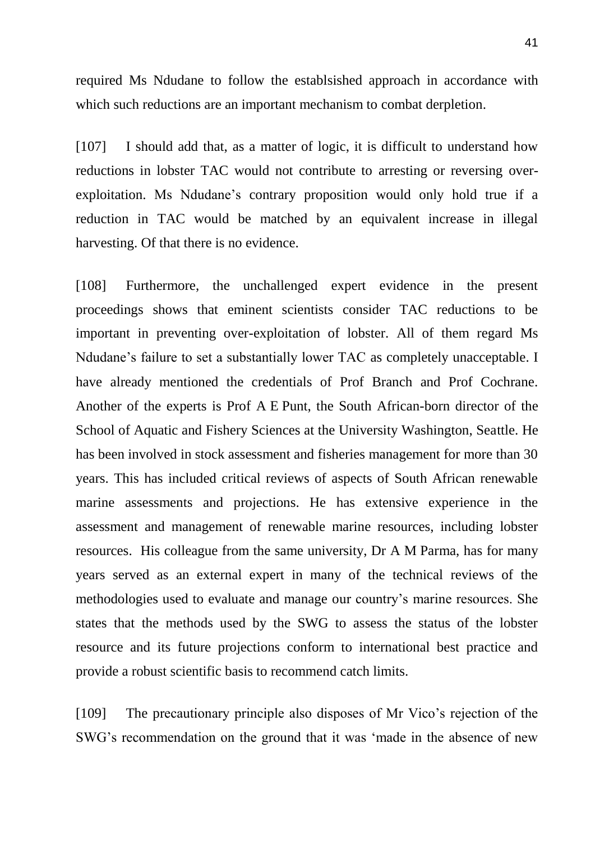required Ms Ndudane to follow the establsished approach in accordance with which such reductions are an important mechanism to combat derpletion.

[107] I should add that, as a matter of logic, it is difficult to understand how reductions in lobster TAC would not contribute to arresting or reversing overexploitation. Ms Ndudane's contrary proposition would only hold true if a reduction in TAC would be matched by an equivalent increase in illegal harvesting. Of that there is no evidence.

[108] Furthermore, the unchallenged expert evidence in the present proceedings shows that eminent scientists consider TAC reductions to be important in preventing over-exploitation of lobster. All of them regard Ms Ndudane's failure to set a substantially lower TAC as completely unacceptable. I have already mentioned the credentials of Prof Branch and Prof Cochrane. Another of the experts is Prof A E Punt, the South African-born director of the School of Aquatic and Fishery Sciences at the University Washington, Seattle. He has been involved in stock assessment and fisheries management for more than 30 years. This has included critical reviews of aspects of South African renewable marine assessments and projections. He has extensive experience in the assessment and management of renewable marine resources, including lobster resources. His colleague from the same university, Dr A M Parma, has for many years served as an external expert in many of the technical reviews of the methodologies used to evaluate and manage our country's marine resources. She states that the methods used by the SWG to assess the status of the lobster resource and its future projections conform to international best practice and provide a robust scientific basis to recommend catch limits.

[109] The precautionary principle also disposes of Mr Vico's rejection of the SWG's recommendation on the ground that it was 'made in the absence of new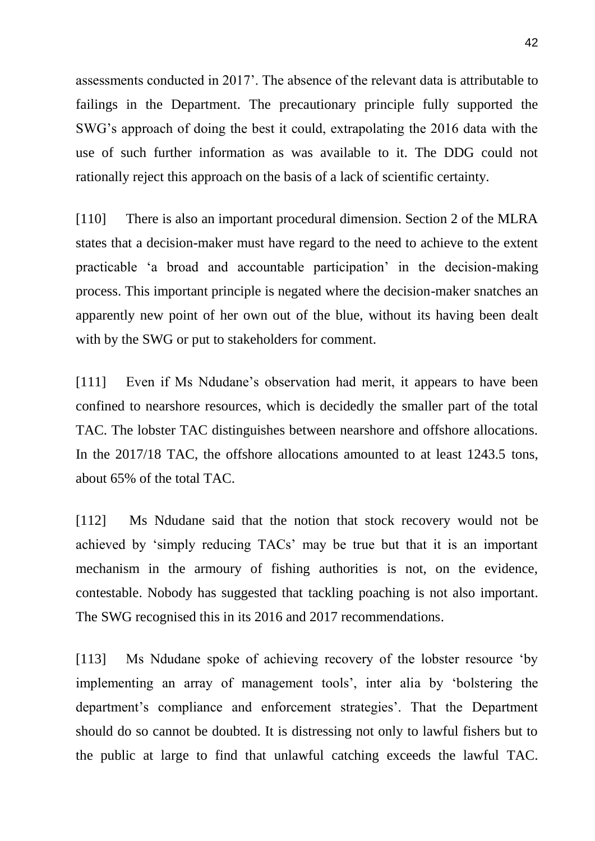assessments conducted in 2017'. The absence of the relevant data is attributable to failings in the Department. The precautionary principle fully supported the SWG's approach of doing the best it could, extrapolating the 2016 data with the use of such further information as was available to it. The DDG could not rationally reject this approach on the basis of a lack of scientific certainty.

[110] There is also an important procedural dimension. Section 2 of the MLRA states that a decision-maker must have regard to the need to achieve to the extent practicable 'a broad and accountable participation' in the decision-making process. This important principle is negated where the decision-maker snatches an apparently new point of her own out of the blue, without its having been dealt with by the SWG or put to stakeholders for comment.

[111] Even if Ms Ndudane's observation had merit, it appears to have been confined to nearshore resources, which is decidedly the smaller part of the total TAC. The lobster TAC distinguishes between nearshore and offshore allocations. In the 2017/18 TAC, the offshore allocations amounted to at least 1243.5 tons, about 65% of the total TAC.

[112] Ms Ndudane said that the notion that stock recovery would not be achieved by 'simply reducing TACs' may be true but that it is an important mechanism in the armoury of fishing authorities is not, on the evidence, contestable. Nobody has suggested that tackling poaching is not also important. The SWG recognised this in its 2016 and 2017 recommendations.

[113] Ms Ndudane spoke of achieving recovery of the lobster resource 'by implementing an array of management tools', inter alia by 'bolstering the department's compliance and enforcement strategies'. That the Department should do so cannot be doubted. It is distressing not only to lawful fishers but to the public at large to find that unlawful catching exceeds the lawful TAC.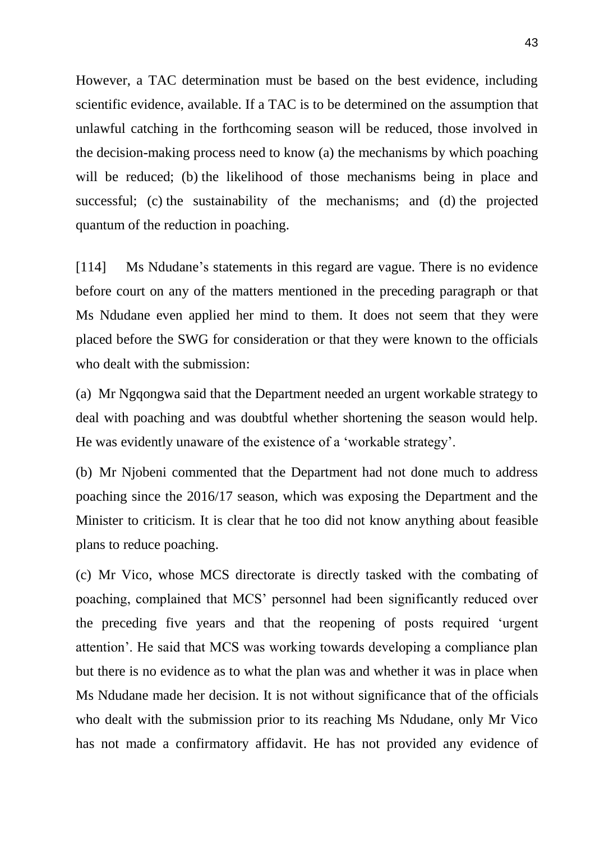However, a TAC determination must be based on the best evidence, including scientific evidence, available. If a TAC is to be determined on the assumption that unlawful catching in the forthcoming season will be reduced, those involved in the decision-making process need to know (a) the mechanisms by which poaching will be reduced; (b) the likelihood of those mechanisms being in place and successful; (c) the sustainability of the mechanisms; and (d) the projected quantum of the reduction in poaching.

[114] Ms Ndudane's statements in this regard are vague. There is no evidence before court on any of the matters mentioned in the preceding paragraph or that Ms Ndudane even applied her mind to them. It does not seem that they were placed before the SWG for consideration or that they were known to the officials who dealt with the submission:

(a) Mr Ngqongwa said that the Department needed an urgent workable strategy to deal with poaching and was doubtful whether shortening the season would help. He was evidently unaware of the existence of a 'workable strategy'.

(b) Mr Njobeni commented that the Department had not done much to address poaching since the 2016/17 season, which was exposing the Department and the Minister to criticism. It is clear that he too did not know anything about feasible plans to reduce poaching.

(c) Mr Vico, whose MCS directorate is directly tasked with the combating of poaching, complained that MCS' personnel had been significantly reduced over the preceding five years and that the reopening of posts required 'urgent attention'. He said that MCS was working towards developing a compliance plan but there is no evidence as to what the plan was and whether it was in place when Ms Ndudane made her decision. It is not without significance that of the officials who dealt with the submission prior to its reaching Ms Ndudane, only Mr Vico has not made a confirmatory affidavit. He has not provided any evidence of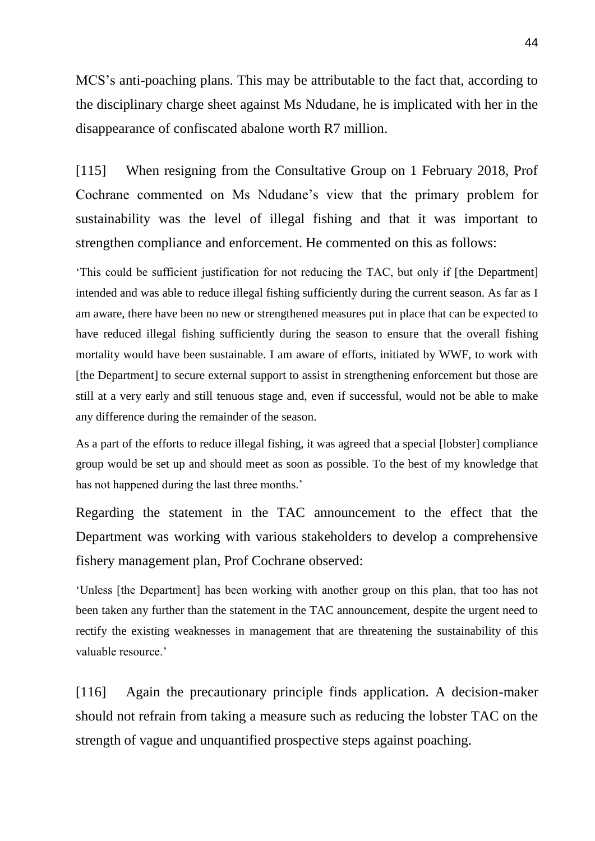MCS's anti-poaching plans. This may be attributable to the fact that, according to the disciplinary charge sheet against Ms Ndudane, he is implicated with her in the disappearance of confiscated abalone worth R7 million.

[115] When resigning from the Consultative Group on 1 February 2018, Prof Cochrane commented on Ms Ndudane's view that the primary problem for sustainability was the level of illegal fishing and that it was important to strengthen compliance and enforcement. He commented on this as follows:

'This could be sufficient justification for not reducing the TAC, but only if [the Department] intended and was able to reduce illegal fishing sufficiently during the current season. As far as I am aware, there have been no new or strengthened measures put in place that can be expected to have reduced illegal fishing sufficiently during the season to ensure that the overall fishing mortality would have been sustainable. I am aware of efforts, initiated by WWF, to work with [the Department] to secure external support to assist in strengthening enforcement but those are still at a very early and still tenuous stage and, even if successful, would not be able to make any difference during the remainder of the season.

As a part of the efforts to reduce illegal fishing, it was agreed that a special [lobster] compliance group would be set up and should meet as soon as possible. To the best of my knowledge that has not happened during the last three months.'

Regarding the statement in the TAC announcement to the effect that the Department was working with various stakeholders to develop a comprehensive fishery management plan, Prof Cochrane observed:

'Unless [the Department] has been working with another group on this plan, that too has not been taken any further than the statement in the TAC announcement, despite the urgent need to rectify the existing weaknesses in management that are threatening the sustainability of this valuable resource.'

[116] Again the precautionary principle finds application. A decision-maker should not refrain from taking a measure such as reducing the lobster TAC on the strength of vague and unquantified prospective steps against poaching.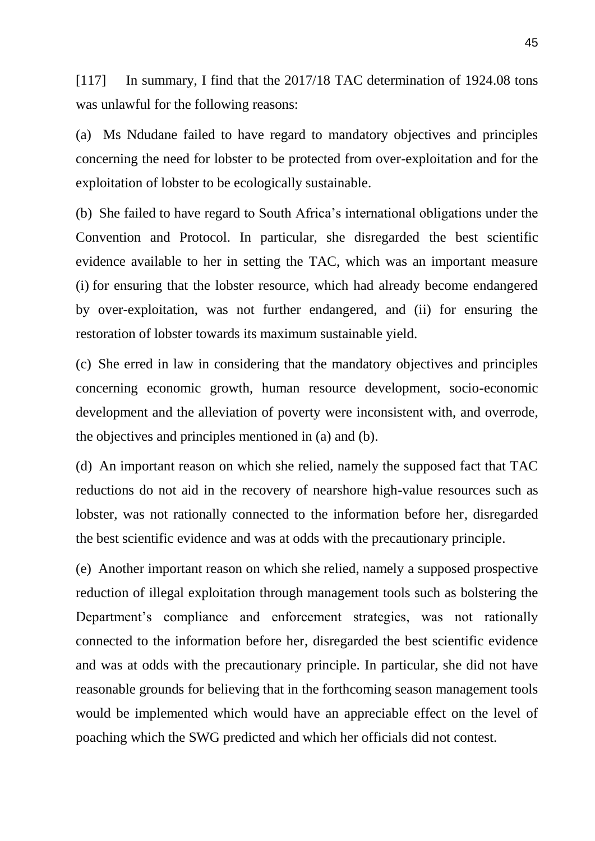[117] In summary, I find that the 2017/18 TAC determination of 1924.08 tons was unlawful for the following reasons:

(a) Ms Ndudane failed to have regard to mandatory objectives and principles concerning the need for lobster to be protected from over-exploitation and for the exploitation of lobster to be ecologically sustainable.

(b) She failed to have regard to South Africa's international obligations under the Convention and Protocol. In particular, she disregarded the best scientific evidence available to her in setting the TAC, which was an important measure (i) for ensuring that the lobster resource, which had already become endangered by over-exploitation, was not further endangered, and (ii) for ensuring the restoration of lobster towards its maximum sustainable yield.

(c) She erred in law in considering that the mandatory objectives and principles concerning economic growth, human resource development, socio-economic development and the alleviation of poverty were inconsistent with, and overrode, the objectives and principles mentioned in (a) and (b).

(d) An important reason on which she relied, namely the supposed fact that TAC reductions do not aid in the recovery of nearshore high-value resources such as lobster, was not rationally connected to the information before her, disregarded the best scientific evidence and was at odds with the precautionary principle.

(e) Another important reason on which she relied, namely a supposed prospective reduction of illegal exploitation through management tools such as bolstering the Department's compliance and enforcement strategies, was not rationally connected to the information before her, disregarded the best scientific evidence and was at odds with the precautionary principle. In particular, she did not have reasonable grounds for believing that in the forthcoming season management tools would be implemented which would have an appreciable effect on the level of poaching which the SWG predicted and which her officials did not contest.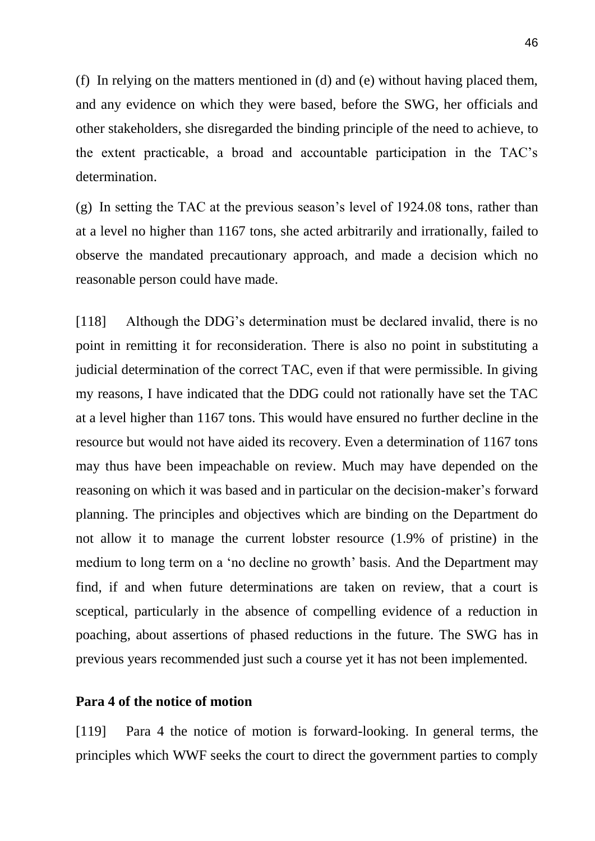(f) In relying on the matters mentioned in (d) and (e) without having placed them, and any evidence on which they were based, before the SWG, her officials and other stakeholders, she disregarded the binding principle of the need to achieve, to the extent practicable, a broad and accountable participation in the TAC's determination.

(g) In setting the TAC at the previous season's level of 1924.08 tons, rather than at a level no higher than 1167 tons, she acted arbitrarily and irrationally, failed to observe the mandated precautionary approach, and made a decision which no reasonable person could have made.

[118] Although the DDG's determination must be declared invalid, there is no point in remitting it for reconsideration. There is also no point in substituting a judicial determination of the correct TAC, even if that were permissible. In giving my reasons, I have indicated that the DDG could not rationally have set the TAC at a level higher than 1167 tons. This would have ensured no further decline in the resource but would not have aided its recovery. Even a determination of 1167 tons may thus have been impeachable on review. Much may have depended on the reasoning on which it was based and in particular on the decision-maker's forward planning. The principles and objectives which are binding on the Department do not allow it to manage the current lobster resource (1.9% of pristine) in the medium to long term on a 'no decline no growth' basis. And the Department may find, if and when future determinations are taken on review, that a court is sceptical, particularly in the absence of compelling evidence of a reduction in poaching, about assertions of phased reductions in the future. The SWG has in previous years recommended just such a course yet it has not been implemented.

## **Para 4 of the notice of motion**

[119] Para 4 the notice of motion is forward-looking. In general terms, the principles which WWF seeks the court to direct the government parties to comply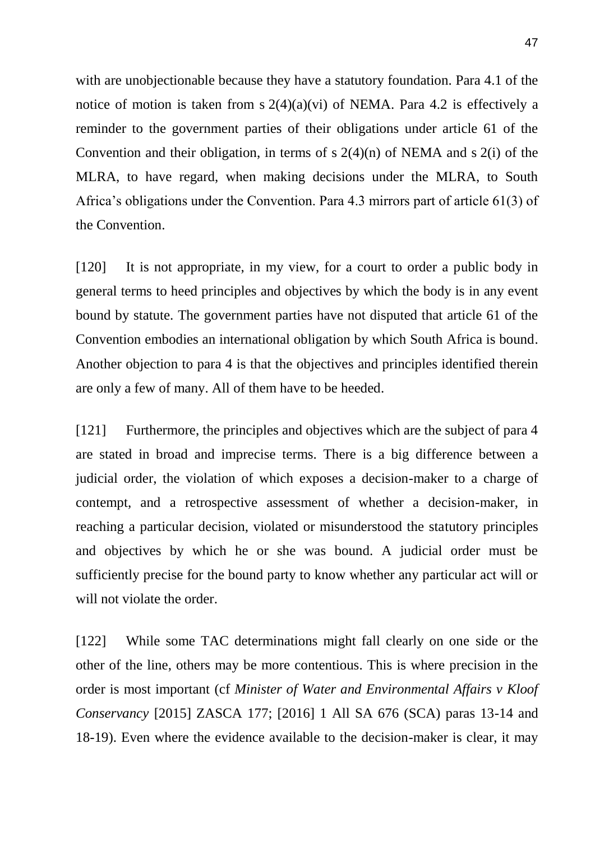with are unobjectionable because they have a statutory foundation. Para 4.1 of the notice of motion is taken from s  $2(4)(a)(vi)$  of NEMA. Para 4.2 is effectively a reminder to the government parties of their obligations under article 61 of the Convention and their obligation, in terms of s  $2(4)(n)$  of NEMA and s  $2(i)$  of the MLRA, to have regard, when making decisions under the MLRA, to South Africa's obligations under the Convention. Para 4.3 mirrors part of article 61(3) of the Convention.

[120] It is not appropriate, in my view, for a court to order a public body in general terms to heed principles and objectives by which the body is in any event bound by statute. The government parties have not disputed that article 61 of the Convention embodies an international obligation by which South Africa is bound. Another objection to para 4 is that the objectives and principles identified therein are only a few of many. All of them have to be heeded.

[121] Furthermore, the principles and objectives which are the subject of para 4 are stated in broad and imprecise terms. There is a big difference between a judicial order, the violation of which exposes a decision-maker to a charge of contempt, and a retrospective assessment of whether a decision-maker, in reaching a particular decision, violated or misunderstood the statutory principles and objectives by which he or she was bound. A judicial order must be sufficiently precise for the bound party to know whether any particular act will or will not violate the order.

[122] While some TAC determinations might fall clearly on one side or the other of the line, others may be more contentious. This is where precision in the order is most important (cf *Minister of Water and Environmental Affairs v Kloof Conservancy* [2015] ZASCA 177; [2016] 1 All SA 676 (SCA) paras 13-14 and 18-19). Even where the evidence available to the decision-maker is clear, it may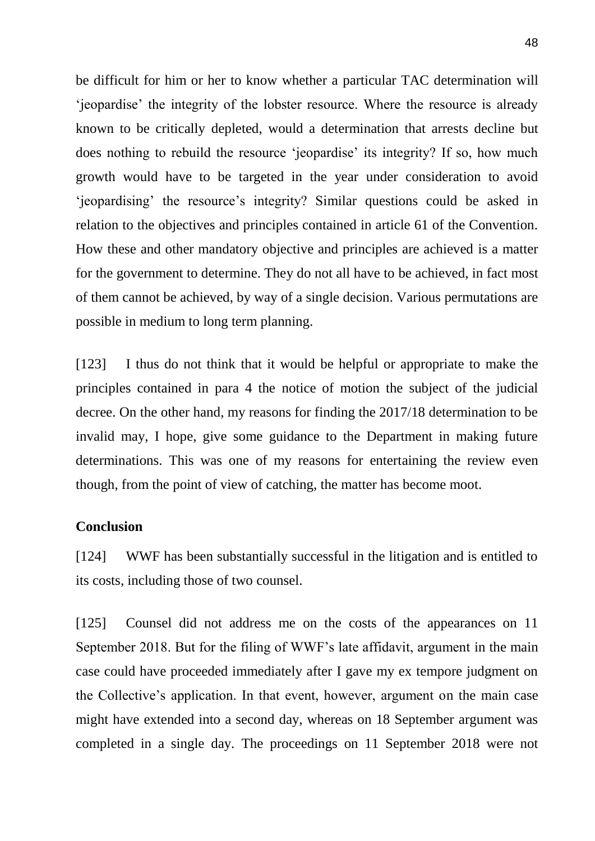be difficult for him or her to know whether a particular TAC determination will 'jeopardise' the integrity of the lobster resource. Where the resource is already known to be critically depleted, would a determination that arrests decline but does nothing to rebuild the resource 'jeopardise' its integrity? If so, how much growth would have to be targeted in the year under consideration to avoid 'jeopardising' the resource's integrity? Similar questions could be asked in relation to the objectives and principles contained in article 61 of the Convention. How these and other mandatory objective and principles are achieved is a matter for the government to determine. They do not all have to be achieved, in fact most of them cannot be achieved, by way of a single decision. Various permutations are possible in medium to long term planning.

[123] I thus do not think that it would be helpful or appropriate to make the principles contained in para 4 the notice of motion the subject of the judicial decree. On the other hand, my reasons for finding the 2017/18 determination to be invalid may, I hope, give some guidance to the Department in making future determinations. This was one of my reasons for entertaining the review even though, from the point of view of catching, the matter has become moot.

### **Conclusion**

[124] WWF has been substantially successful in the litigation and is entitled to its costs, including those of two counsel.

[125] Counsel did not address me on the costs of the appearances on 11 September 2018. But for the filing of WWF's late affidavit, argument in the main case could have proceeded immediately after I gave my ex tempore judgment on the Collective's application. In that event, however, argument on the main case might have extended into a second day, whereas on 18 September argument was completed in a single day. The proceedings on 11 September 2018 were not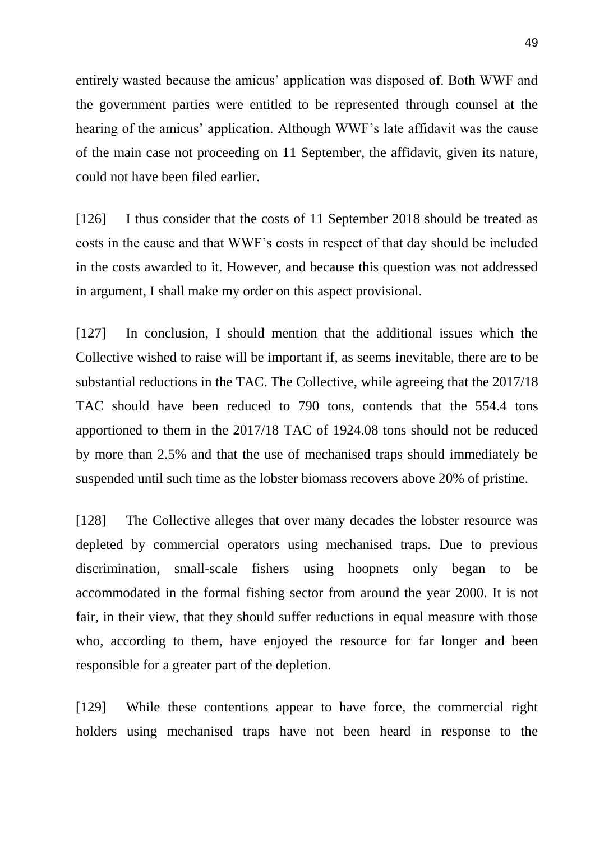entirely wasted because the amicus' application was disposed of. Both WWF and the government parties were entitled to be represented through counsel at the hearing of the amicus' application. Although WWF's late affidavit was the cause of the main case not proceeding on 11 September, the affidavit, given its nature, could not have been filed earlier.

[126] I thus consider that the costs of 11 September 2018 should be treated as costs in the cause and that WWF's costs in respect of that day should be included in the costs awarded to it. However, and because this question was not addressed in argument, I shall make my order on this aspect provisional.

[127] In conclusion, I should mention that the additional issues which the Collective wished to raise will be important if, as seems inevitable, there are to be substantial reductions in the TAC. The Collective, while agreeing that the 2017/18 TAC should have been reduced to 790 tons, contends that the 554.4 tons apportioned to them in the 2017/18 TAC of 1924.08 tons should not be reduced by more than 2.5% and that the use of mechanised traps should immediately be suspended until such time as the lobster biomass recovers above 20% of pristine.

[128] The Collective alleges that over many decades the lobster resource was depleted by commercial operators using mechanised traps. Due to previous discrimination, small-scale fishers using hoopnets only began to be accommodated in the formal fishing sector from around the year 2000. It is not fair, in their view, that they should suffer reductions in equal measure with those who, according to them, have enjoyed the resource for far longer and been responsible for a greater part of the depletion.

[129] While these contentions appear to have force, the commercial right holders using mechanised traps have not been heard in response to the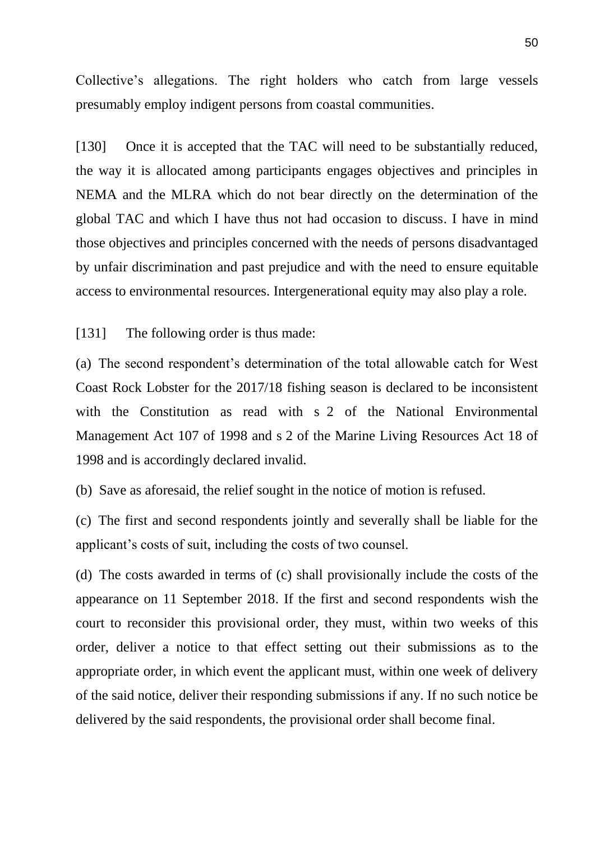Collective's allegations. The right holders who catch from large vessels presumably employ indigent persons from coastal communities.

[130] Once it is accepted that the TAC will need to be substantially reduced, the way it is allocated among participants engages objectives and principles in NEMA and the MLRA which do not bear directly on the determination of the global TAC and which I have thus not had occasion to discuss. I have in mind those objectives and principles concerned with the needs of persons disadvantaged by unfair discrimination and past prejudice and with the need to ensure equitable access to environmental resources. Intergenerational equity may also play a role.

[131] The following order is thus made:

(a) The second respondent's determination of the total allowable catch for West Coast Rock Lobster for the 2017/18 fishing season is declared to be inconsistent with the Constitution as read with s 2 of the National Environmental Management Act 107 of 1998 and s 2 of the Marine Living Resources Act 18 of 1998 and is accordingly declared invalid.

(b) Save as aforesaid, the relief sought in the notice of motion is refused.

(c) The first and second respondents jointly and severally shall be liable for the applicant's costs of suit, including the costs of two counsel.

(d) The costs awarded in terms of (c) shall provisionally include the costs of the appearance on 11 September 2018. If the first and second respondents wish the court to reconsider this provisional order, they must, within two weeks of this order, deliver a notice to that effect setting out their submissions as to the appropriate order, in which event the applicant must, within one week of delivery of the said notice, deliver their responding submissions if any. If no such notice be delivered by the said respondents, the provisional order shall become final.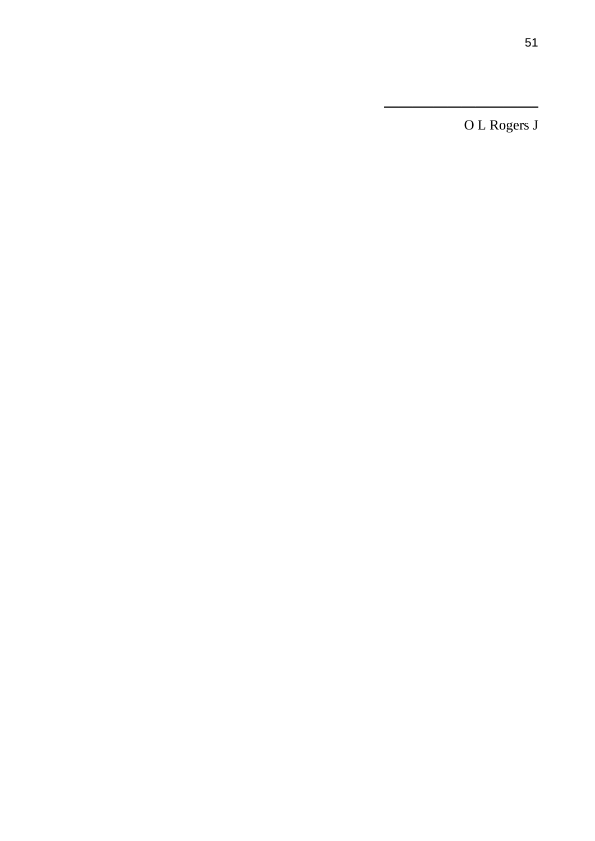O L Rogers J

 $\overline{\phantom{a}}$  , where the contract of the contract of the contract of the contract of the contract of the contract of the contract of the contract of the contract of the contract of the contract of the contract of the contr